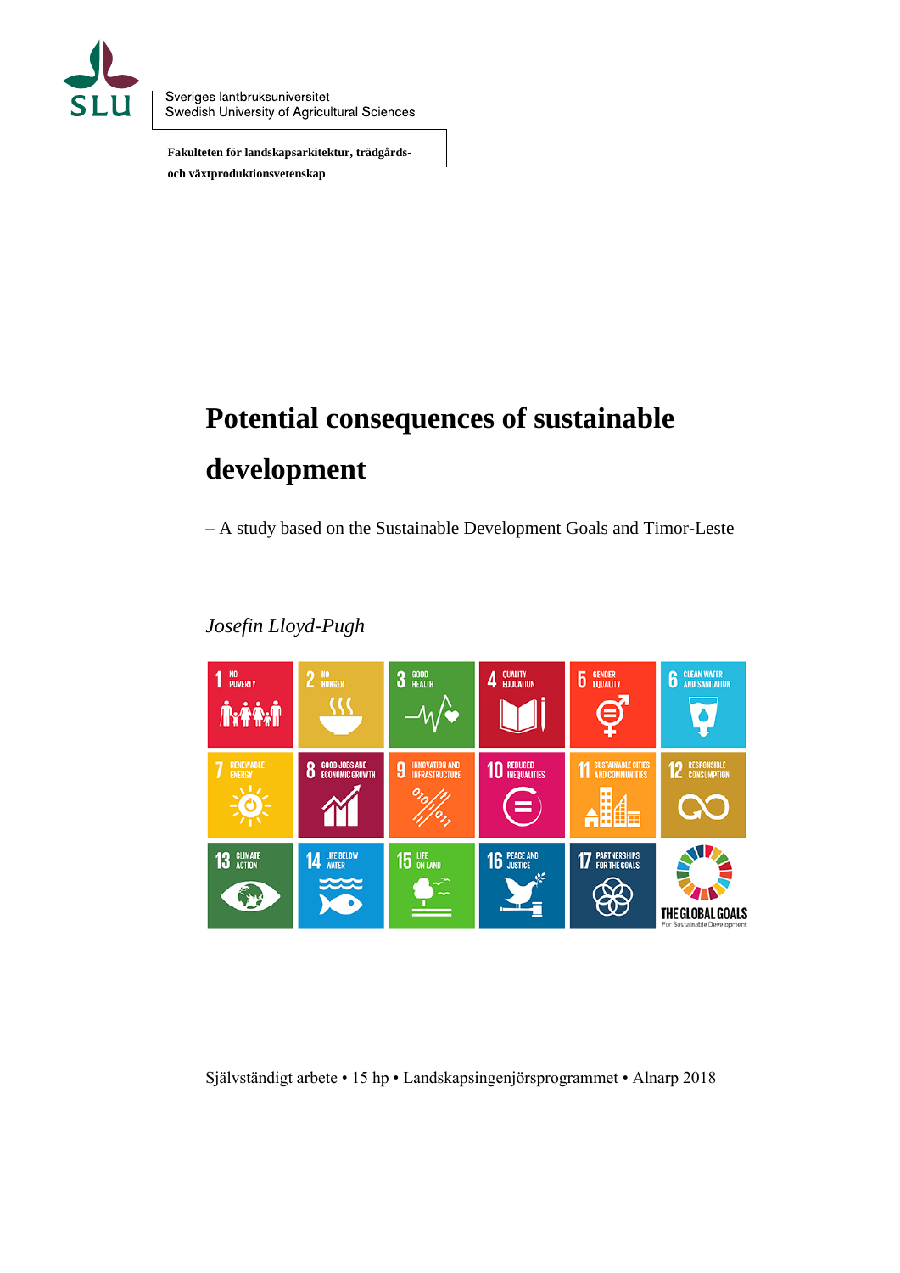

Sveriges lantbruksuniversitet Swedish University of Agricultural Sciences

 **Fakulteten för landskapsarkitektur, trädgårds och växtproduktionsvetenskap** 

# **Potential consequences of sustainable development**

– A study based on the Sustainable Development Goals and Timor-Leste

#### $1<sup>10</sup>$  POVERTY  $2^{10}$  HUNGER **3** GOOD 4 QUALITY **5** GENDER **6** CLEAN WATER い **GOOD JOBS AND<br>ECONOMIC GROW 10 REDUCED 11 SUSTAINABLE CITIES** 8 9 饇 = **16 PEACE AND 14 LIFE BELOW** 15 LIFE **17 PARTNERSHIPS** 13 GLIMATE THE GLOBAL GOALS

## *Josefin Lloyd-Pugh*

Självständigt arbete • 15 hp • Landskapsingenjörsprogrammet • Alnarp 2018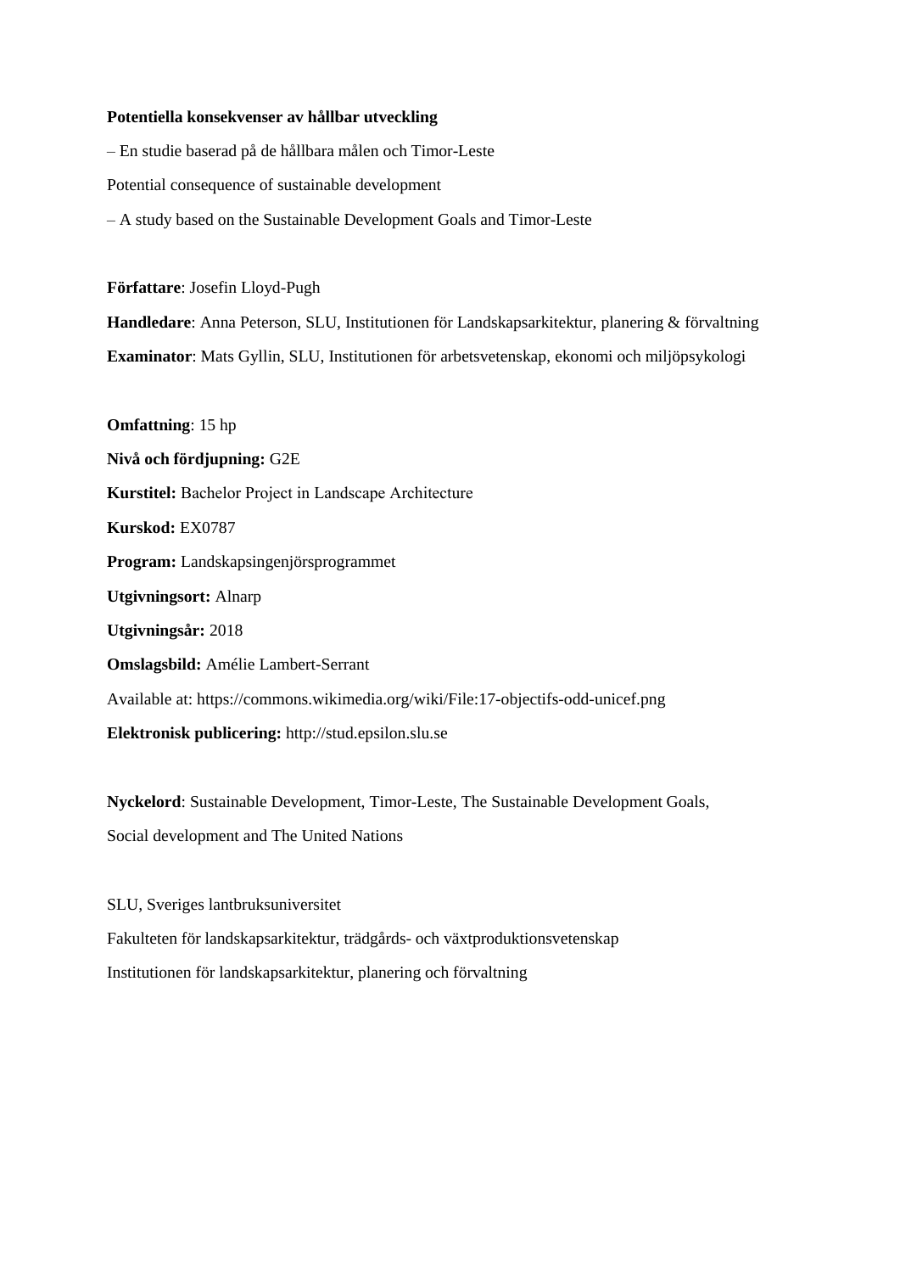#### **Potentiella konsekvenser av hållbar utveckling**

– En studie baserad på de hållbara målen och Timor-Leste Potential consequence of sustainable development – A study based on the Sustainable Development Goals and Timor-Leste

**Författare**: Josefin Lloyd-Pugh

**Handledare**: Anna Peterson, SLU, Institutionen för Landskapsarkitektur, planering & förvaltning **Examinator**: Mats Gyllin, SLU, Institutionen för arbetsvetenskap, ekonomi och miljöpsykologi

**Omfattning**: 15 hp **Nivå och fördjupning:** G2E **Kurstitel:** Bachelor Project in Landscape Architecture **Kurskod:** EX0787 **Program:** Landskapsingenjörsprogrammet **Utgivningsort:** Alnarp **Utgivningsår:** 2018 **Omslagsbild:** Amélie Lambert-Serrant Available at: https://commons.wikimedia.org/wiki/File:17-objectifs-odd-unicef.png **Elektronisk publicering:** http://stud.epsilon.slu.se

**Nyckelord**: Sustainable Development, Timor-Leste, The Sustainable Development Goals, Social development and The United Nations

SLU, Sveriges lantbruksuniversitet Fakulteten för landskapsarkitektur, trädgårds- och växtproduktionsvetenskap Institutionen för landskapsarkitektur, planering och förvaltning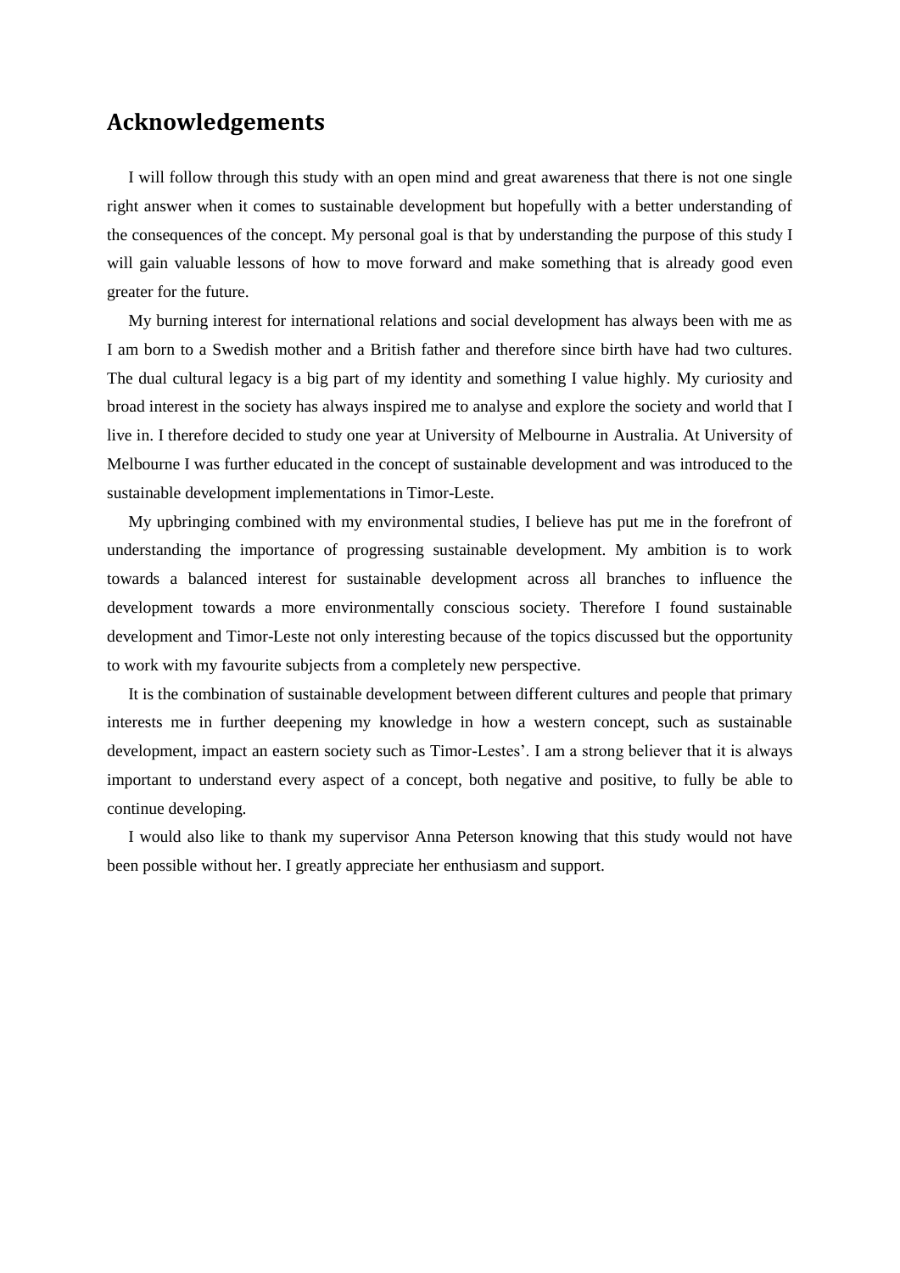## **Acknowledgements**

I will follow through this study with an open mind and great awareness that there is not one single right answer when it comes to sustainable development but hopefully with a better understanding of the consequences of the concept. My personal goal is that by understanding the purpose of this study I will gain valuable lessons of how to move forward and make something that is already good even greater for the future.

My burning interest for international relations and social development has always been with me as I am born to a Swedish mother and a British father and therefore since birth have had two cultures. The dual cultural legacy is a big part of my identity and something I value highly. My curiosity and broad interest in the society has always inspired me to analyse and explore the society and world that I live in. I therefore decided to study one year at University of Melbourne in Australia. At University of Melbourne I was further educated in the concept of sustainable development and was introduced to the sustainable development implementations in Timor-Leste.

My upbringing combined with my environmental studies, I believe has put me in the forefront of understanding the importance of progressing sustainable development. My ambition is to work towards a balanced interest for sustainable development across all branches to influence the development towards a more environmentally conscious society. Therefore I found sustainable development and Timor-Leste not only interesting because of the topics discussed but the opportunity to work with my favourite subjects from a completely new perspective.

It is the combination of sustainable development between different cultures and people that primary interests me in further deepening my knowledge in how a western concept, such as sustainable development, impact an eastern society such as Timor-Lestes'. I am a strong believer that it is always important to understand every aspect of a concept, both negative and positive, to fully be able to continue developing.

I would also like to thank my supervisor Anna Peterson knowing that this study would not have been possible without her. I greatly appreciate her enthusiasm and support.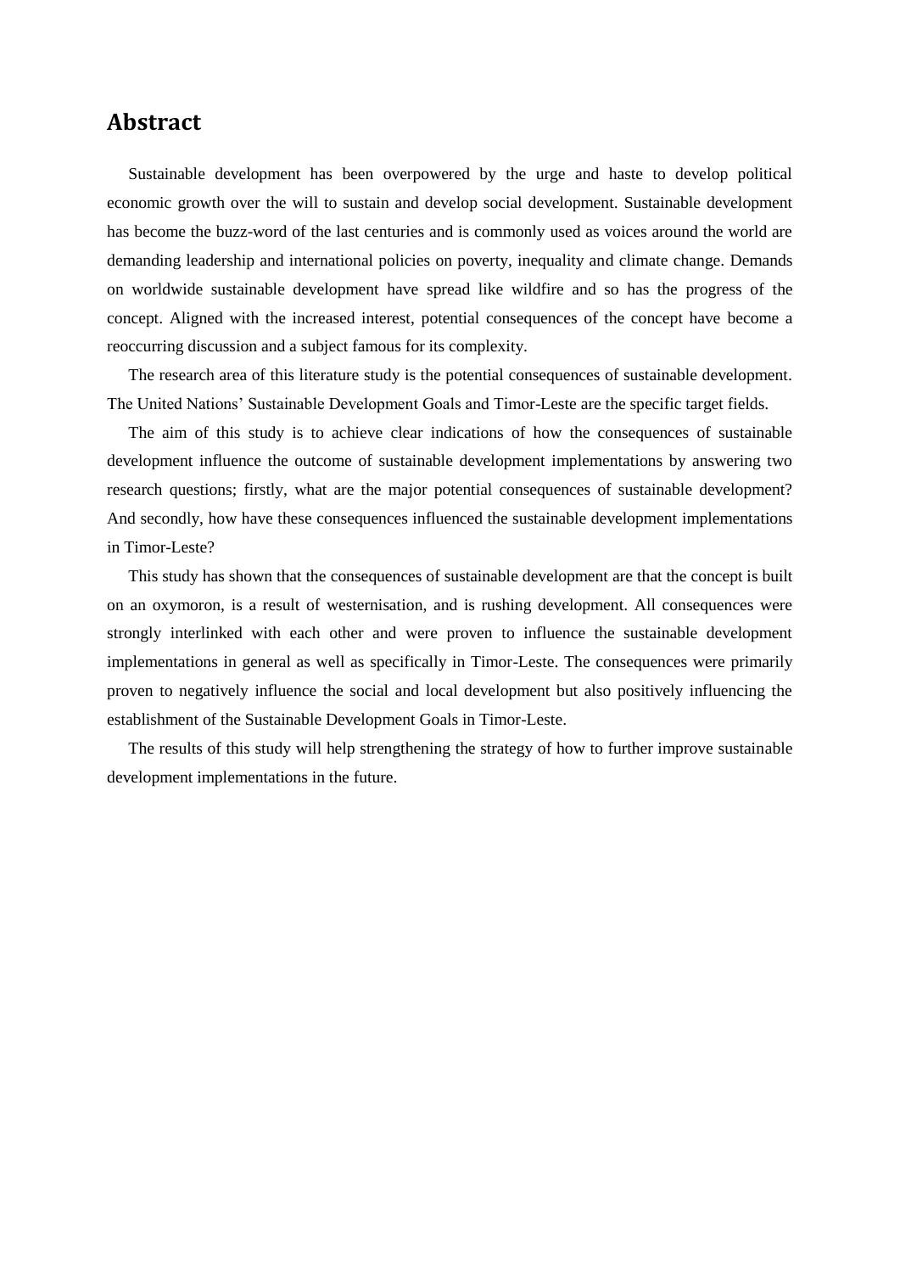## **Abstract**

Sustainable development has been overpowered by the urge and haste to develop political economic growth over the will to sustain and develop social development. Sustainable development has become the buzz-word of the last centuries and is commonly used as voices around the world are demanding leadership and international policies on poverty, inequality and climate change. Demands on worldwide sustainable development have spread like wildfire and so has the progress of the concept. Aligned with the increased interest, potential consequences of the concept have become a reoccurring discussion and a subject famous for its complexity.

The research area of this literature study is the potential consequences of sustainable development. The United Nations' Sustainable Development Goals and Timor-Leste are the specific target fields.

The aim of this study is to achieve clear indications of how the consequences of sustainable development influence the outcome of sustainable development implementations by answering two research questions; firstly, what are the major potential consequences of sustainable development? And secondly, how have these consequences influenced the sustainable development implementations in Timor-Leste?

This study has shown that the consequences of sustainable development are that the concept is built on an oxymoron, is a result of westernisation, and is rushing development. All consequences were strongly interlinked with each other and were proven to influence the sustainable development implementations in general as well as specifically in Timor-Leste. The consequences were primarily proven to negatively influence the social and local development but also positively influencing the establishment of the Sustainable Development Goals in Timor-Leste.

The results of this study will help strengthening the strategy of how to further improve sustainable development implementations in the future.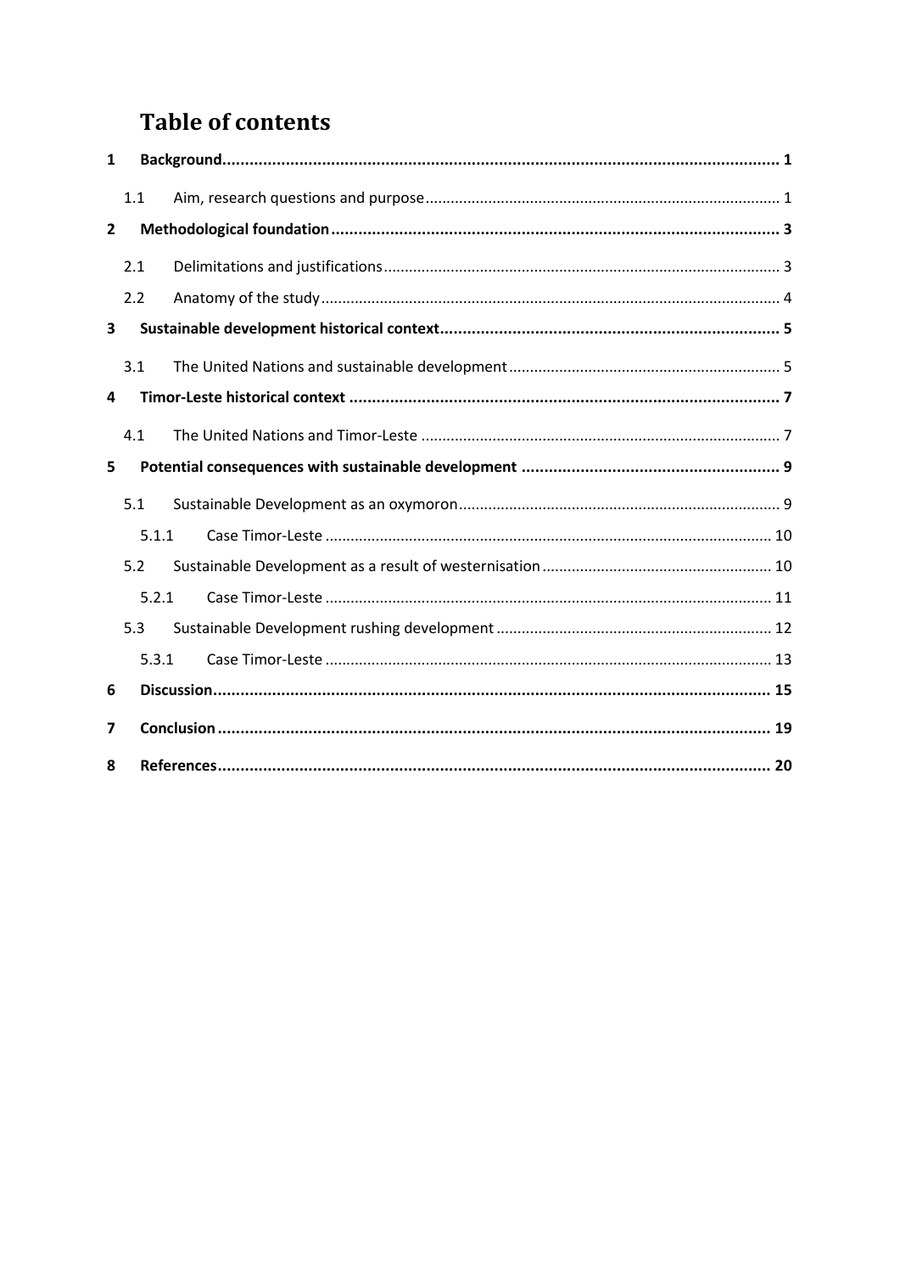## **Table of contents**

| 1              |     |       |  |  |  |
|----------------|-----|-------|--|--|--|
|                | 1.1 |       |  |  |  |
| $\overline{2}$ |     |       |  |  |  |
|                | 2.1 |       |  |  |  |
|                | 2.2 |       |  |  |  |
| 3              |     |       |  |  |  |
|                | 3.1 |       |  |  |  |
| 4              |     |       |  |  |  |
|                | 4.1 |       |  |  |  |
| 5              |     |       |  |  |  |
|                | 5.1 |       |  |  |  |
|                |     | 5.1.1 |  |  |  |
|                | 5.2 |       |  |  |  |
|                |     | 5.2.1 |  |  |  |
|                | 5.3 |       |  |  |  |
|                |     | 5.3.1 |  |  |  |
| 6              |     |       |  |  |  |
| 7              |     |       |  |  |  |
| 8              |     |       |  |  |  |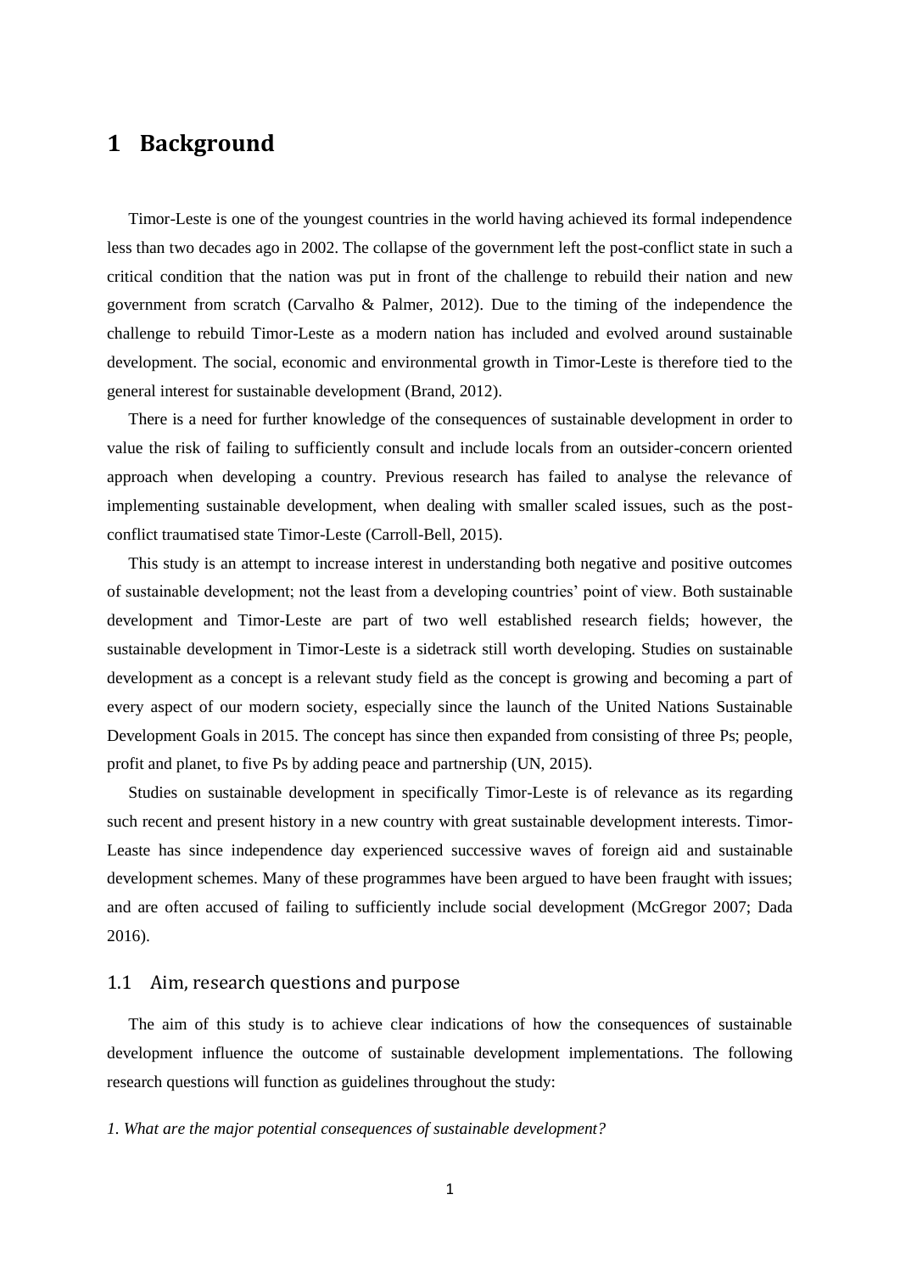## <span id="page-5-0"></span>**1 Background**

Timor-Leste is one of the youngest countries in the world having achieved its formal independence less than two decades ago in 2002. The collapse of the government left the post-conflict state in such a critical condition that the nation was put in front of the challenge to rebuild their nation and new government from scratch (Carvalho & Palmer, 2012). Due to the timing of the independence the challenge to rebuild Timor-Leste as a modern nation has included and evolved around sustainable development. The social, economic and environmental growth in Timor-Leste is therefore tied to the general interest for sustainable development (Brand, 2012).

There is a need for further knowledge of the consequences of sustainable development in order to value the risk of failing to sufficiently consult and include locals from an outsider-concern oriented approach when developing a country. Previous research has failed to analyse the relevance of implementing sustainable development, when dealing with smaller scaled issues, such as the postconflict traumatised state Timor-Leste (Carroll-Bell, 2015).

This study is an attempt to increase interest in understanding both negative and positive outcomes of sustainable development; not the least from a developing countries' point of view. Both sustainable development and Timor-Leste are part of two well established research fields; however, the sustainable development in Timor-Leste is a sidetrack still worth developing. Studies on sustainable development as a concept is a relevant study field as the concept is growing and becoming a part of every aspect of our modern society, especially since the launch of the United Nations Sustainable Development Goals in 2015. The concept has since then expanded from consisting of three Ps; people, profit and planet, to five Ps by adding peace and partnership (UN, 2015).

Studies on sustainable development in specifically Timor-Leste is of relevance as its regarding such recent and present history in a new country with great sustainable development interests. Timor-Leaste has since independence day experienced successive waves of foreign aid and sustainable development schemes. Many of these programmes have been argued to have been fraught with issues; and are often accused of failing to sufficiently include social development (McGregor 2007; Dada 2016).

#### <span id="page-5-1"></span>1.1 Aim, research questions and purpose

The aim of this study is to achieve clear indications of how the consequences of sustainable development influence the outcome of sustainable development implementations. The following research questions will function as guidelines throughout the study:

#### *1. What are the major potential consequences of sustainable development?*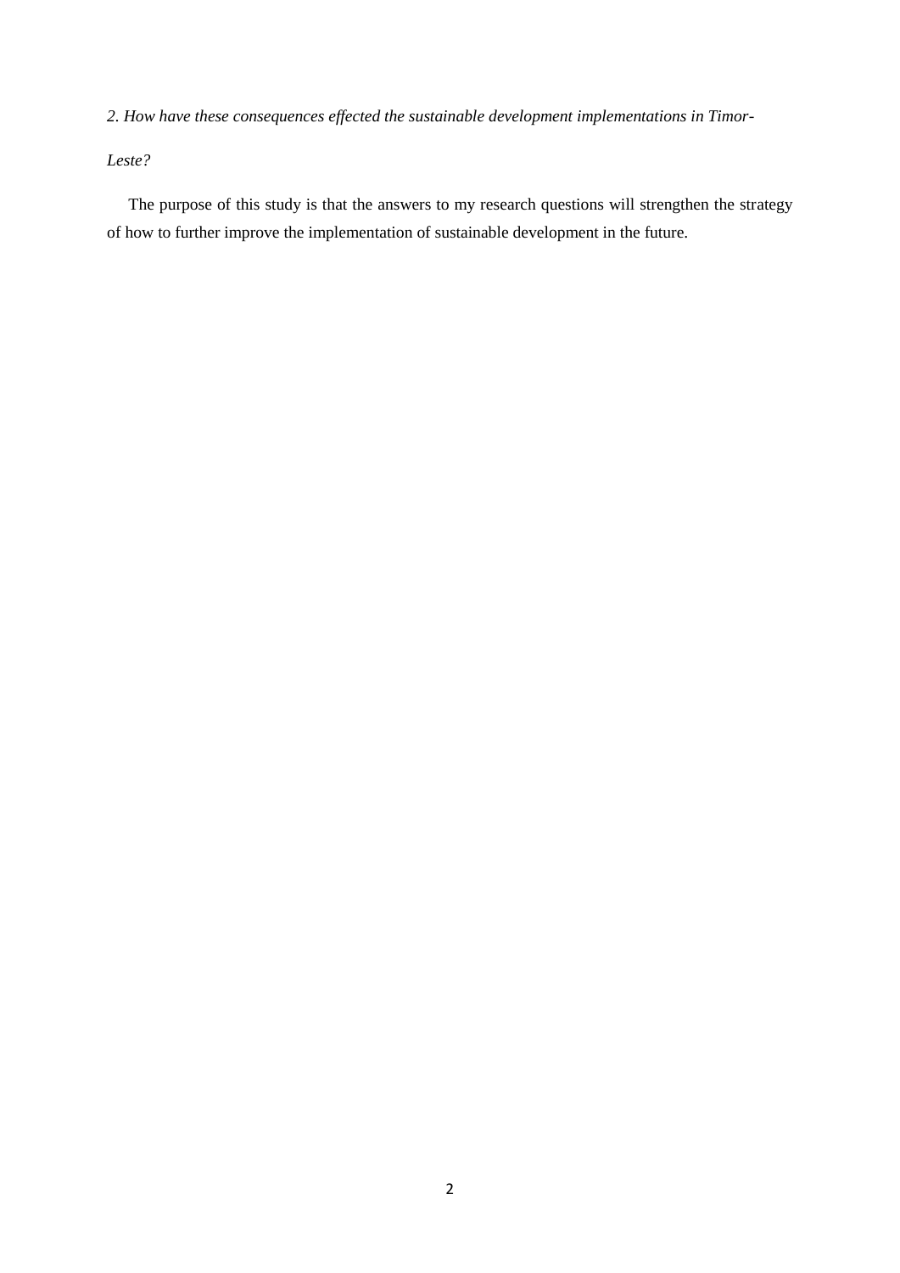*2. How have these consequences effected the sustainable development implementations in Timor-*

*Leste?*

The purpose of this study is that the answers to my research questions will strengthen the strategy of how to further improve the implementation of sustainable development in the future.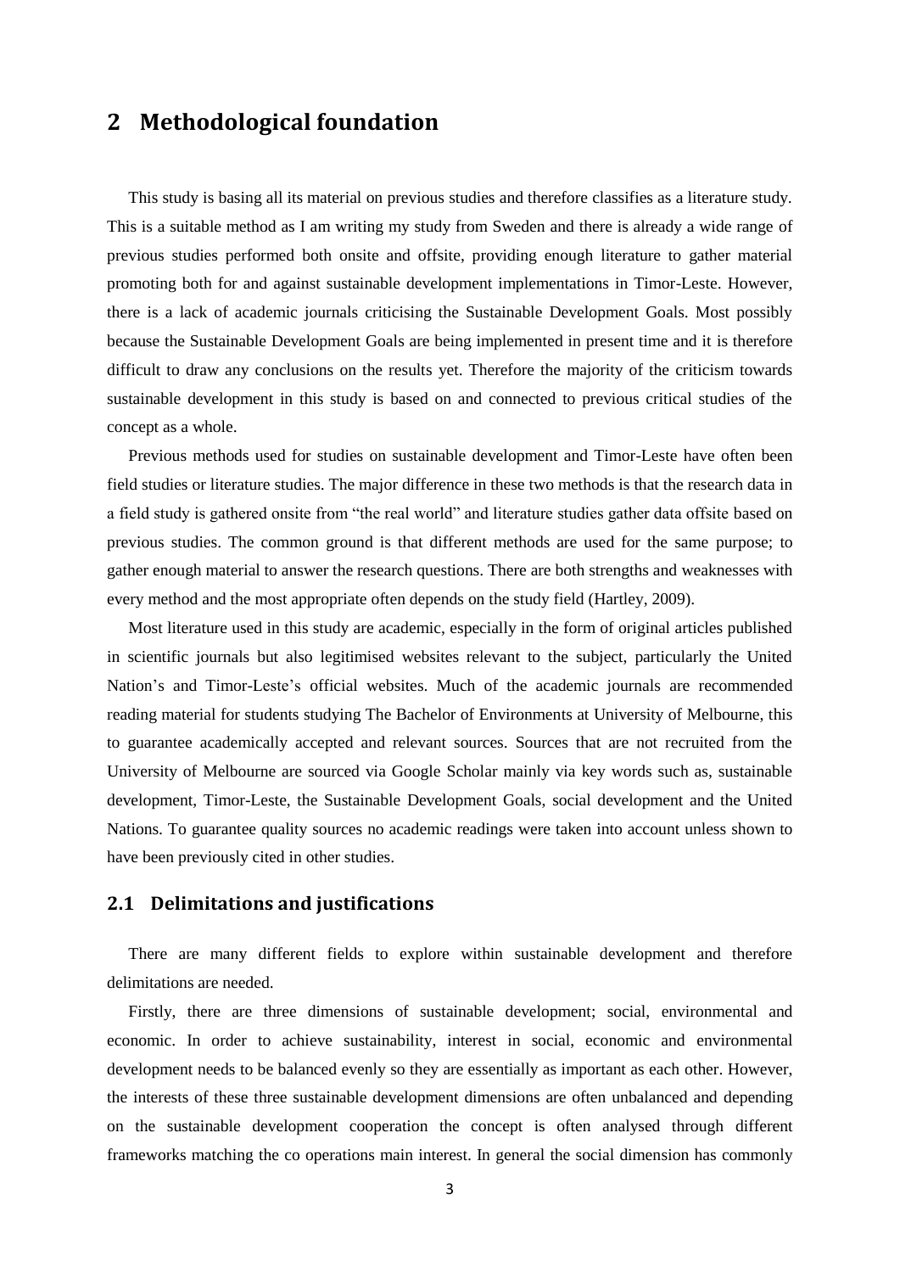## <span id="page-7-0"></span>**2 Methodological foundation**

This study is basing all its material on previous studies and therefore classifies as a literature study. This is a suitable method as I am writing my study from Sweden and there is already a wide range of previous studies performed both onsite and offsite, providing enough literature to gather material promoting both for and against sustainable development implementations in Timor-Leste. However, there is a lack of academic journals criticising the Sustainable Development Goals. Most possibly because the Sustainable Development Goals are being implemented in present time and it is therefore difficult to draw any conclusions on the results yet. Therefore the majority of the criticism towards sustainable development in this study is based on and connected to previous critical studies of the concept as a whole.

Previous methods used for studies on sustainable development and Timor-Leste have often been field studies or literature studies. The major difference in these two methods is that the research data in a field study is gathered onsite from "the real world" and literature studies gather data offsite based on previous studies. The common ground is that different methods are used for the same purpose; to gather enough material to answer the research questions. There are both strengths and weaknesses with every method and the most appropriate often depends on the study field (Hartley, 2009).

Most literature used in this study are academic, especially in the form of original articles published in scientific journals but also legitimised websites relevant to the subject, particularly the United Nation's and Timor-Leste's official websites. Much of the academic journals are recommended reading material for students studying The Bachelor of Environments at University of Melbourne, this to guarantee academically accepted and relevant sources. Sources that are not recruited from the University of Melbourne are sourced via Google Scholar mainly via key words such as, sustainable development, Timor-Leste, the Sustainable Development Goals, social development and the United Nations. To guarantee quality sources no academic readings were taken into account unless shown to have been previously cited in other studies.

## <span id="page-7-1"></span>**2.1 Delimitations and justifications**

There are many different fields to explore within sustainable development and therefore delimitations are needed.

Firstly, there are three dimensions of sustainable development; social, environmental and economic. In order to achieve sustainability, interest in social, economic and environmental development needs to be balanced evenly so they are essentially as important as each other. However, the interests of these three sustainable development dimensions are often unbalanced and depending on the sustainable development cooperation the concept is often analysed through different frameworks matching the co operations main interest. In general the social dimension has commonly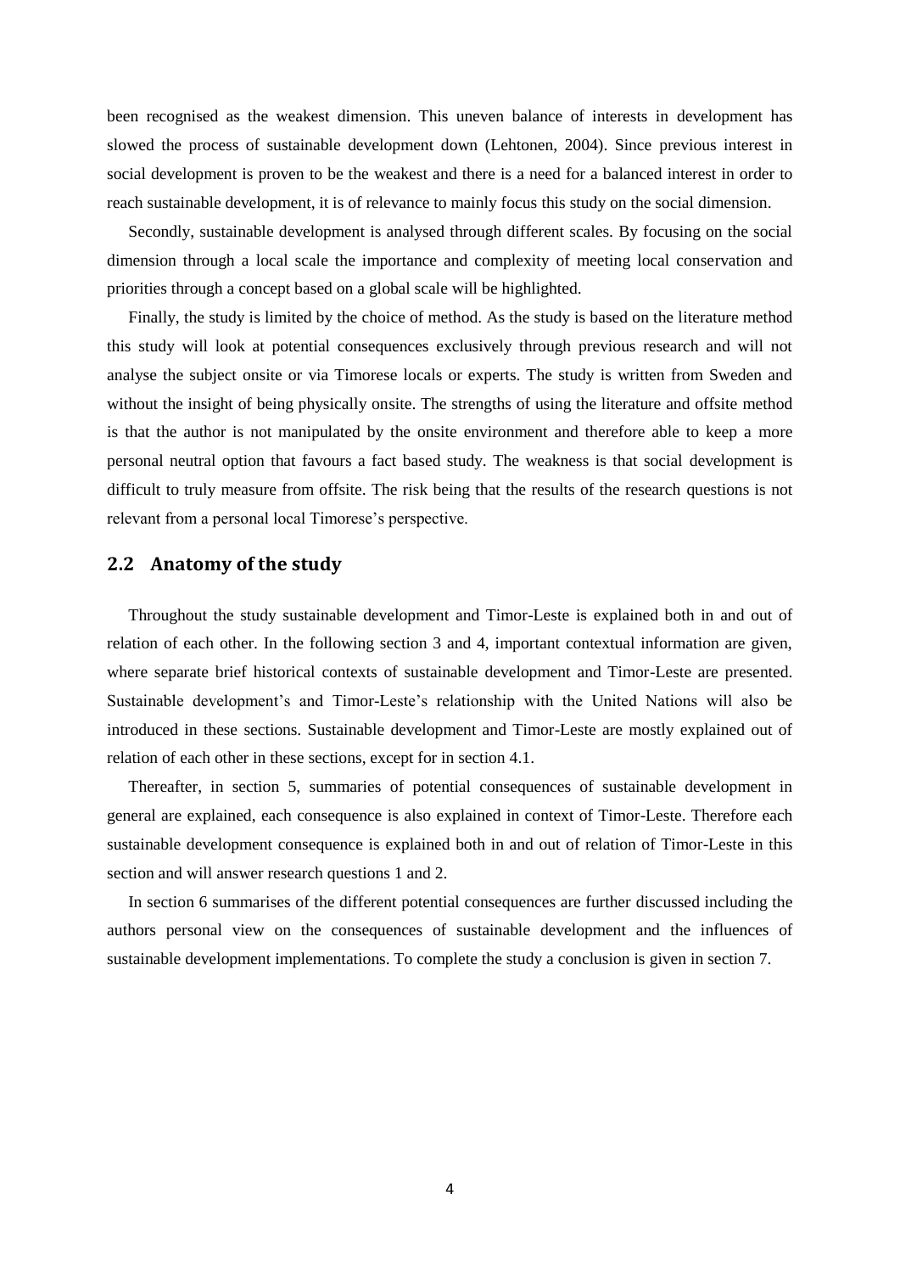been recognised as the weakest dimension. This uneven balance of interests in development has slowed the process of sustainable development down (Lehtonen, 2004). Since previous interest in social development is proven to be the weakest and there is a need for a balanced interest in order to reach sustainable development, it is of relevance to mainly focus this study on the social dimension.

Secondly, sustainable development is analysed through different scales. By focusing on the social dimension through a local scale the importance and complexity of meeting local conservation and priorities through a concept based on a global scale will be highlighted.

Finally, the study is limited by the choice of method. As the study is based on the literature method this study will look at potential consequences exclusively through previous research and will not analyse the subject onsite or via Timorese locals or experts. The study is written from Sweden and without the insight of being physically onsite. The strengths of using the literature and offsite method is that the author is not manipulated by the onsite environment and therefore able to keep a more personal neutral option that favours a fact based study. The weakness is that social development is difficult to truly measure from offsite. The risk being that the results of the research questions is not relevant from a personal local Timorese's perspective.

#### <span id="page-8-0"></span>**2.2 Anatomy of the study**

Throughout the study sustainable development and Timor-Leste is explained both in and out of relation of each other. In the following section 3 and 4, important contextual information are given, where separate brief historical contexts of sustainable development and Timor-Leste are presented. Sustainable development's and Timor-Leste's relationship with the United Nations will also be introduced in these sections. Sustainable development and Timor-Leste are mostly explained out of relation of each other in these sections, except for in section 4.1.

Thereafter, in section 5, summaries of potential consequences of sustainable development in general are explained, each consequence is also explained in context of Timor-Leste. Therefore each sustainable development consequence is explained both in and out of relation of Timor-Leste in this section and will answer research questions 1 and 2.

<span id="page-8-1"></span>In section 6 summarises of the different potential consequences are further discussed including the authors personal view on the consequences of sustainable development and the influences of sustainable development implementations. To complete the study a conclusion is given in section 7.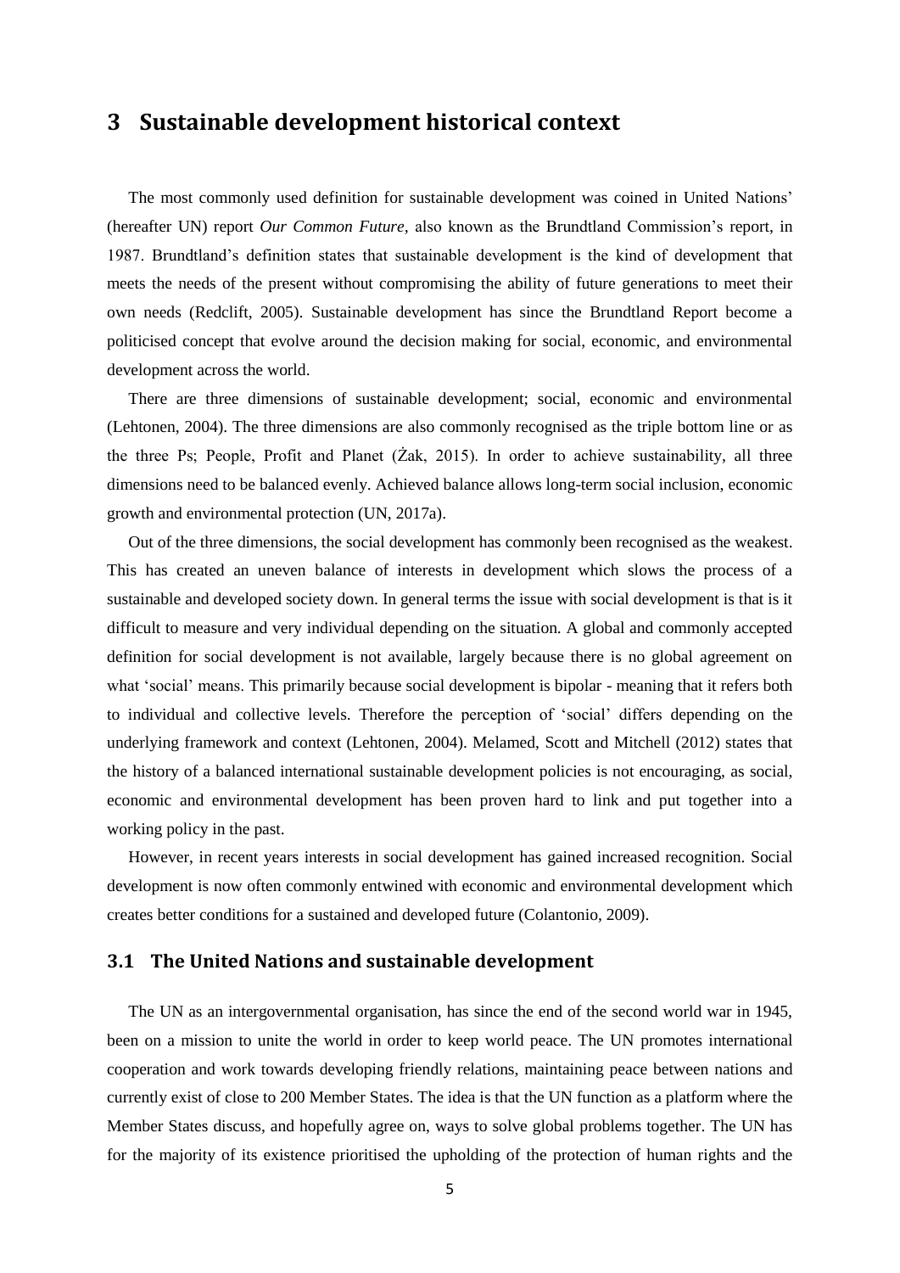## **3 Sustainable development historical context**

The most commonly used definition for sustainable development was coined in United Nations' (hereafter UN) report *Our Common Future,* also known as the Brundtland Commission's report, in 1987. Brundtland's definition states that sustainable development is the kind of development that meets the needs of the present without compromising the ability of future generations to meet their own needs (Redclift, 2005). Sustainable development has since the Brundtland Report become a politicised concept that evolve around the decision making for social, economic, and environmental development across the world.

There are three dimensions of sustainable development; social, economic and environmental (Lehtonen, 2004). The three dimensions are also commonly recognised as the triple bottom line or as the three Ps; People, Profit and Planet (Żak, 2015). In order to achieve sustainability, all three dimensions need to be balanced evenly. Achieved balance allows long-term social inclusion, economic growth and environmental protection (UN, 2017a).

Out of the three dimensions, the social development has commonly been recognised as the weakest. This has created an uneven balance of interests in development which slows the process of a sustainable and developed society down. In general terms the issue with social development is that is it difficult to measure and very individual depending on the situation. A global and commonly accepted definition for social development is not available, largely because there is no global agreement on what 'social' means. This primarily because social development is bipolar - meaning that it refers both to individual and collective levels. Therefore the perception of 'social' differs depending on the underlying framework and context (Lehtonen, 2004). Melamed, Scott and Mitchell (2012) states that the history of a balanced international sustainable development policies is not encouraging, as social, economic and environmental development has been proven hard to link and put together into a working policy in the past.

However, in recent years interests in social development has gained increased recognition. Social development is now often commonly entwined with economic and environmental development which creates better conditions for a sustained and developed future (Colantonio, 2009).

## <span id="page-9-0"></span>**3.1 The United Nations and sustainable development**

The UN as an intergovernmental organisation, has since the end of the second world war in 1945, been on a mission to unite the world in order to keep world peace. The UN promotes international cooperation and work towards developing friendly relations, maintaining peace between nations and currently exist of close to 200 Member States. The idea is that the UN function as a platform where the Member States discuss, and hopefully agree on, ways to solve global problems together. The UN has for the majority of its existence prioritised the upholding of the protection of human rights and the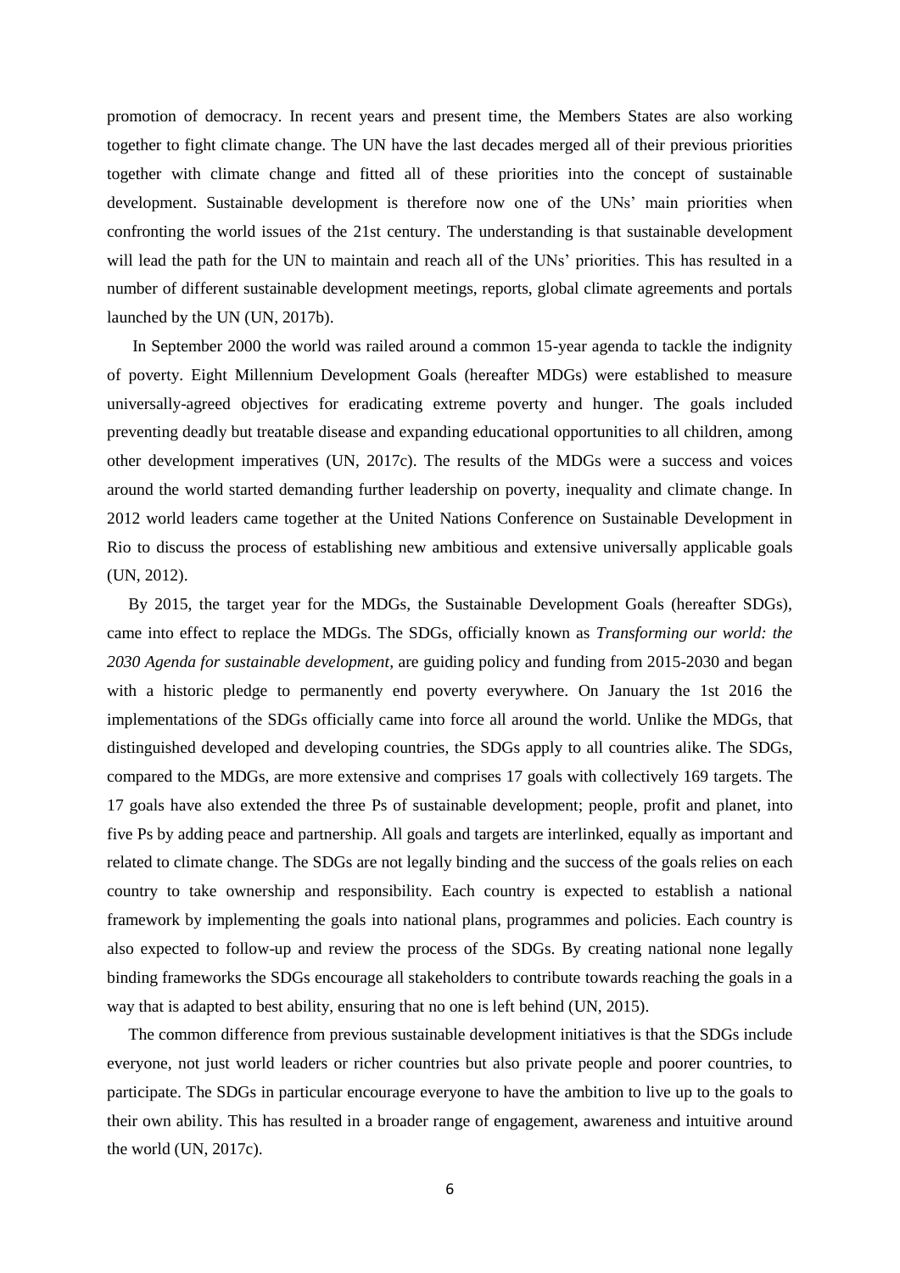promotion of democracy. In recent years and present time, the Members States are also working together to fight climate change. The UN have the last decades merged all of their previous priorities together with climate change and fitted all of these priorities into the concept of sustainable development. Sustainable development is therefore now one of the UNs' main priorities when confronting the world issues of the 21st century. The understanding is that sustainable development will lead the path for the UN to maintain and reach all of the UNs' priorities. This has resulted in a number of different sustainable development meetings, reports, global climate agreements and portals launched by the UN (UN, 2017b).

In September 2000 the world was railed around a common 15-year agenda to tackle the indignity of poverty. Eight Millennium Development Goals (hereafter MDGs) were established to measure universally-agreed objectives for eradicating extreme poverty and hunger. The goals included preventing deadly but treatable disease and expanding educational opportunities to all children, among other development imperatives (UN, 2017c). The results of the MDGs were a success and voices around the world started demanding further leadership on poverty, inequality and climate change. In 2012 world leaders came together at the United Nations Conference on Sustainable Development in Rio to discuss the process of establishing new ambitious and extensive universally applicable goals (UN, 2012).

By 2015, the target year for the MDGs, the Sustainable Development Goals (hereafter SDGs), came into effect to replace the MDGs. The SDGs, officially known as *Transforming our world: the 2030 Agenda for sustainable development*, are guiding policy and funding from 2015-2030 and began with a historic pledge to permanently end poverty everywhere. On January the 1st 2016 the implementations of the SDGs officially came into force all around the world. Unlike the MDGs, that distinguished developed and developing countries, the SDGs apply to all countries alike. The SDGs, compared to the MDGs, are more extensive and comprises 17 goals with collectively 169 targets. The 17 goals have also extended the three Ps of sustainable development; people, profit and planet, into five Ps by adding peace and partnership. All goals and targets are interlinked, equally as important and related to climate change. The SDGs are not legally binding and the success of the goals relies on each country to take ownership and responsibility. Each country is expected to establish a national framework by implementing the goals into national plans, programmes and policies. Each country is also expected to follow-up and review the process of the SDGs. By creating national none legally binding frameworks the SDGs encourage all stakeholders to contribute towards reaching the goals in a way that is adapted to best ability, ensuring that no one is left behind (UN, 2015).

The common difference from previous sustainable development initiatives is that the SDGs include everyone, not just world leaders or richer countries but also private people and poorer countries, to participate. The SDGs in particular encourage everyone to have the ambition to live up to the goals to their own ability. This has resulted in a broader range of engagement, awareness and intuitive around the world (UN, 2017c).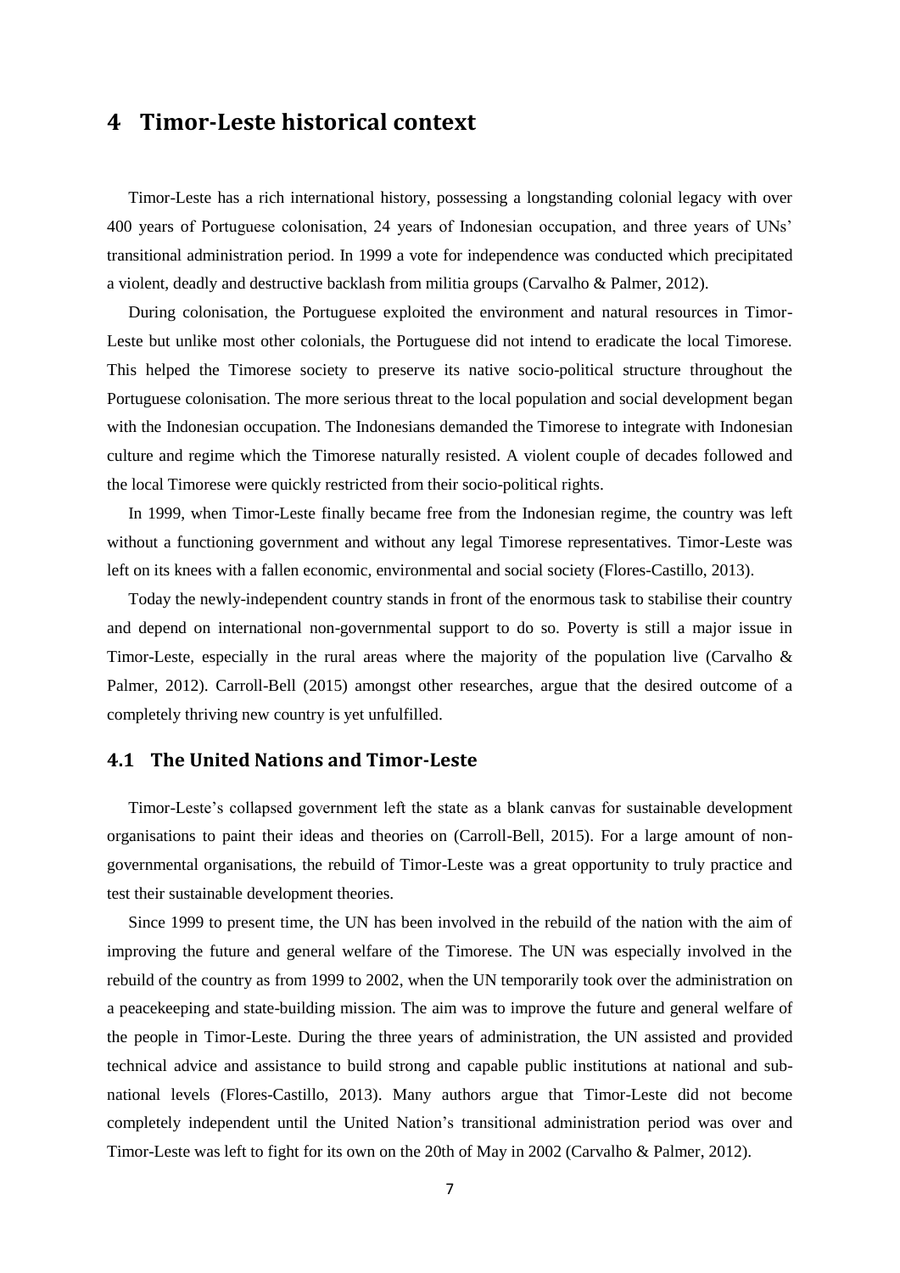## <span id="page-11-0"></span>**4 Timor-Leste historical context**

Timor-Leste has a rich international history, possessing a longstanding colonial legacy with over 400 years of Portuguese colonisation, 24 years of Indonesian occupation, and three years of UNs' transitional administration period. In 1999 a vote for independence was conducted which precipitated a violent, deadly and destructive backlash from militia groups (Carvalho & Palmer, 2012).

During colonisation, the Portuguese exploited the environment and natural resources in Timor-Leste but unlike most other colonials, the Portuguese did not intend to eradicate the local Timorese. This helped the Timorese society to preserve its native socio-political structure throughout the Portuguese colonisation. The more serious threat to the local population and social development began with the Indonesian occupation. The Indonesians demanded the Timorese to integrate with Indonesian culture and regime which the Timorese naturally resisted. A violent couple of decades followed and the local Timorese were quickly restricted from their socio-political rights.

In 1999, when Timor-Leste finally became free from the Indonesian regime, the country was left without a functioning government and without any legal Timorese representatives. Timor-Leste was left on its knees with a fallen economic, environmental and social society (Flores-Castillo, 2013).

Today the newly-independent country stands in front of the enormous task to stabilise their country and depend on international non-governmental support to do so. Poverty is still a major issue in Timor-Leste, especially in the rural areas where the majority of the population live (Carvalho  $\&$ Palmer, 2012). Carroll-Bell (2015) amongst other researches, argue that the desired outcome of a completely thriving new country is yet unfulfilled.

## <span id="page-11-1"></span>**4.1 The United Nations and Timor-Leste**

Timor-Leste's collapsed government left the state as a blank canvas for sustainable development organisations to paint their ideas and theories on (Carroll-Bell, 2015). For a large amount of nongovernmental organisations, the rebuild of Timor-Leste was a great opportunity to truly practice and test their sustainable development theories.

Since 1999 to present time, the UN has been involved in the rebuild of the nation with the aim of improving the future and general welfare of the Timorese. The UN was especially involved in the rebuild of the country as from 1999 to 2002, when the UN temporarily took over the administration on a peacekeeping and state-building mission. The aim was to improve the future and general welfare of the people in Timor-Leste. During the three years of administration, the UN assisted and provided technical advice and assistance to build strong and capable public institutions at national and subnational levels (Flores-Castillo, 2013). Many authors argue that Timor-Leste did not become completely independent until the United Nation's transitional administration period was over and Timor-Leste was left to fight for its own on the 20th of May in 2002 (Carvalho & Palmer, 2012).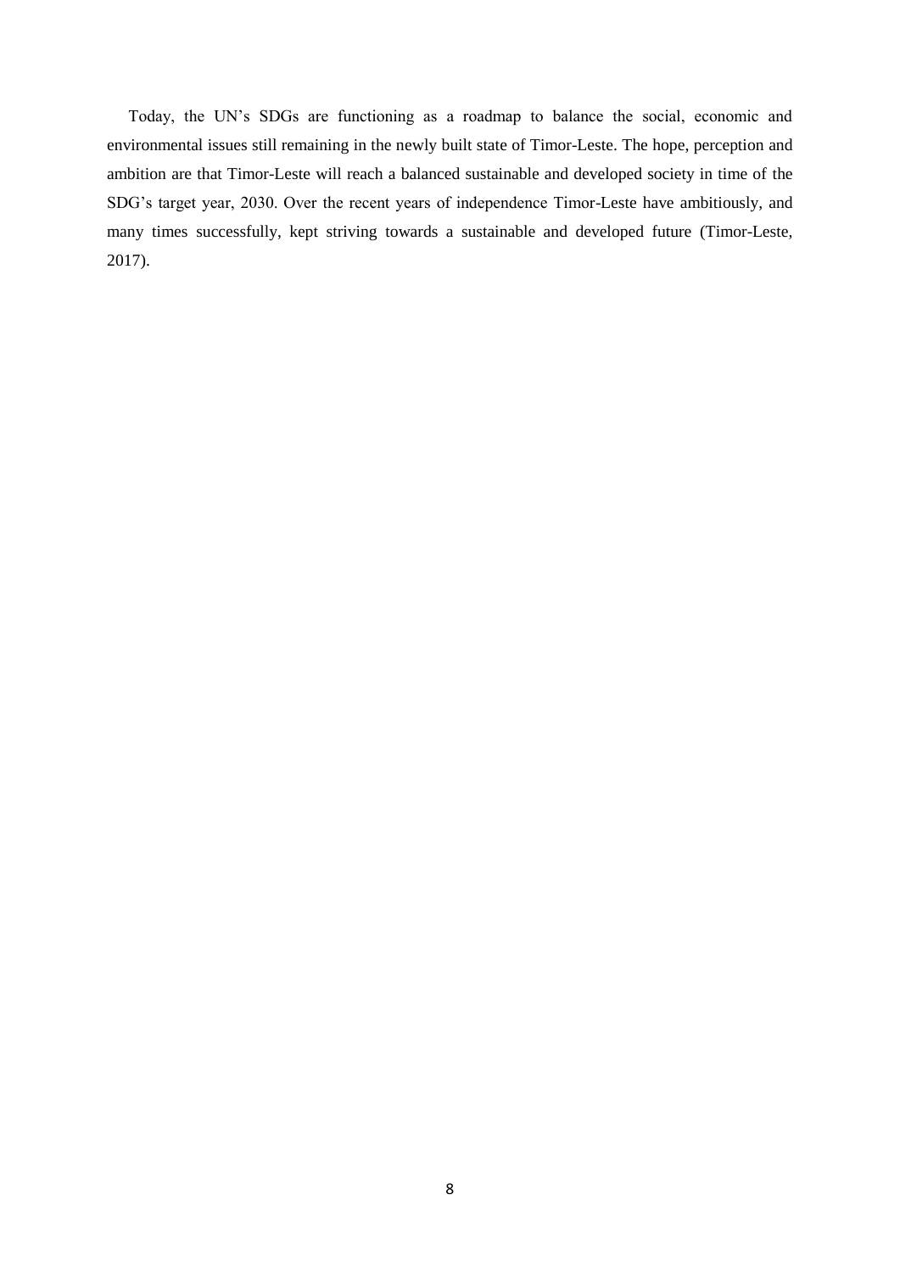Today, the UN's SDGs are functioning as a roadmap to balance the social, economic and environmental issues still remaining in the newly built state of Timor-Leste. The hope, perception and ambition are that Timor-Leste will reach a balanced sustainable and developed society in time of the SDG's target year, 2030. Over the recent years of independence Timor-Leste have ambitiously, and many times successfully, kept striving towards a sustainable and developed future (Timor-Leste, 2017).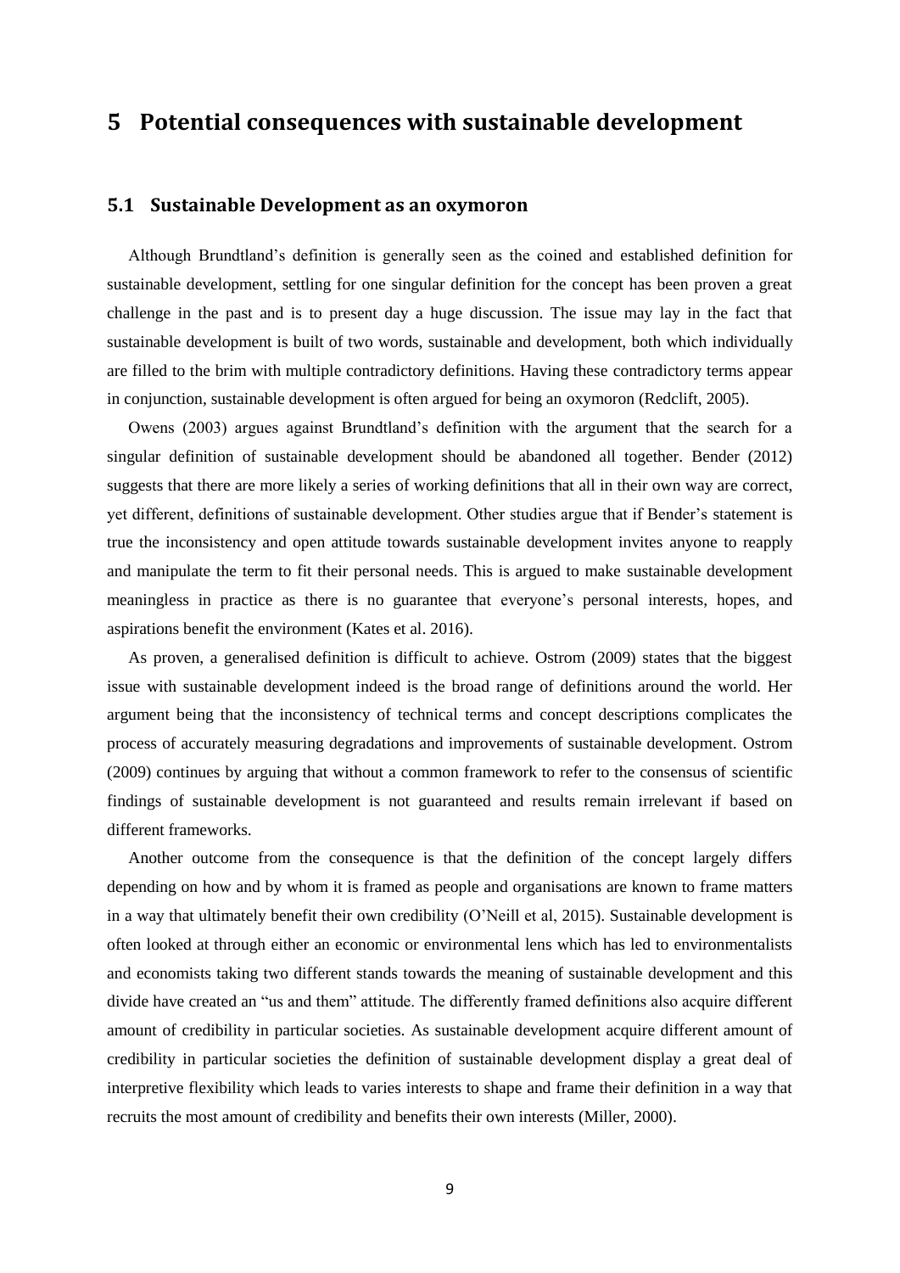## <span id="page-13-0"></span>**5 Potential consequences with sustainable development**

#### <span id="page-13-1"></span>**5.1 Sustainable Development as an oxymoron**

Although Brundtland's definition is generally seen as the coined and established definition for sustainable development, settling for one singular definition for the concept has been proven a great challenge in the past and is to present day a huge discussion. The issue may lay in the fact that sustainable development is built of two words, sustainable and development, both which individually are filled to the brim with multiple contradictory definitions. Having these contradictory terms appear in conjunction, sustainable development is often argued for being an oxymoron (Redclift, 2005).

Owens (2003) argues against Brundtland's definition with the argument that the search for a singular definition of sustainable development should be abandoned all together. Bender (2012) suggests that there are more likely a series of working definitions that all in their own way are correct, yet different, definitions of sustainable development. Other studies argue that if Bender's statement is true the inconsistency and open attitude towards sustainable development invites anyone to reapply and manipulate the term to fit their personal needs. This is argued to make sustainable development meaningless in practice as there is no guarantee that everyone's personal interests, hopes, and aspirations benefit the environment (Kates et al. 2016).

As proven, a generalised definition is difficult to achieve. Ostrom (2009) states that the biggest issue with sustainable development indeed is the broad range of definitions around the world. Her argument being that the inconsistency of technical terms and concept descriptions complicates the process of accurately measuring degradations and improvements of sustainable development. Ostrom (2009) continues by arguing that without a common framework to refer to the consensus of scientific findings of sustainable development is not guaranteed and results remain irrelevant if based on different frameworks.

Another outcome from the consequence is that the definition of the concept largely differs depending on how and by whom it is framed as people and organisations are known to frame matters in a way that ultimately benefit their own credibility (O'Neill et al, 2015). Sustainable development is often looked at through either an economic or environmental lens which has led to environmentalists and economists taking two different stands towards the meaning of sustainable development and this divide have created an "us and them" attitude. The differently framed definitions also acquire different amount of credibility in particular societies. As sustainable development acquire different amount of credibility in particular societies the definition of sustainable development display a great deal of interpretive flexibility which leads to varies interests to shape and frame their definition in a way that recruits the most amount of credibility and benefits their own interests (Miller, 2000).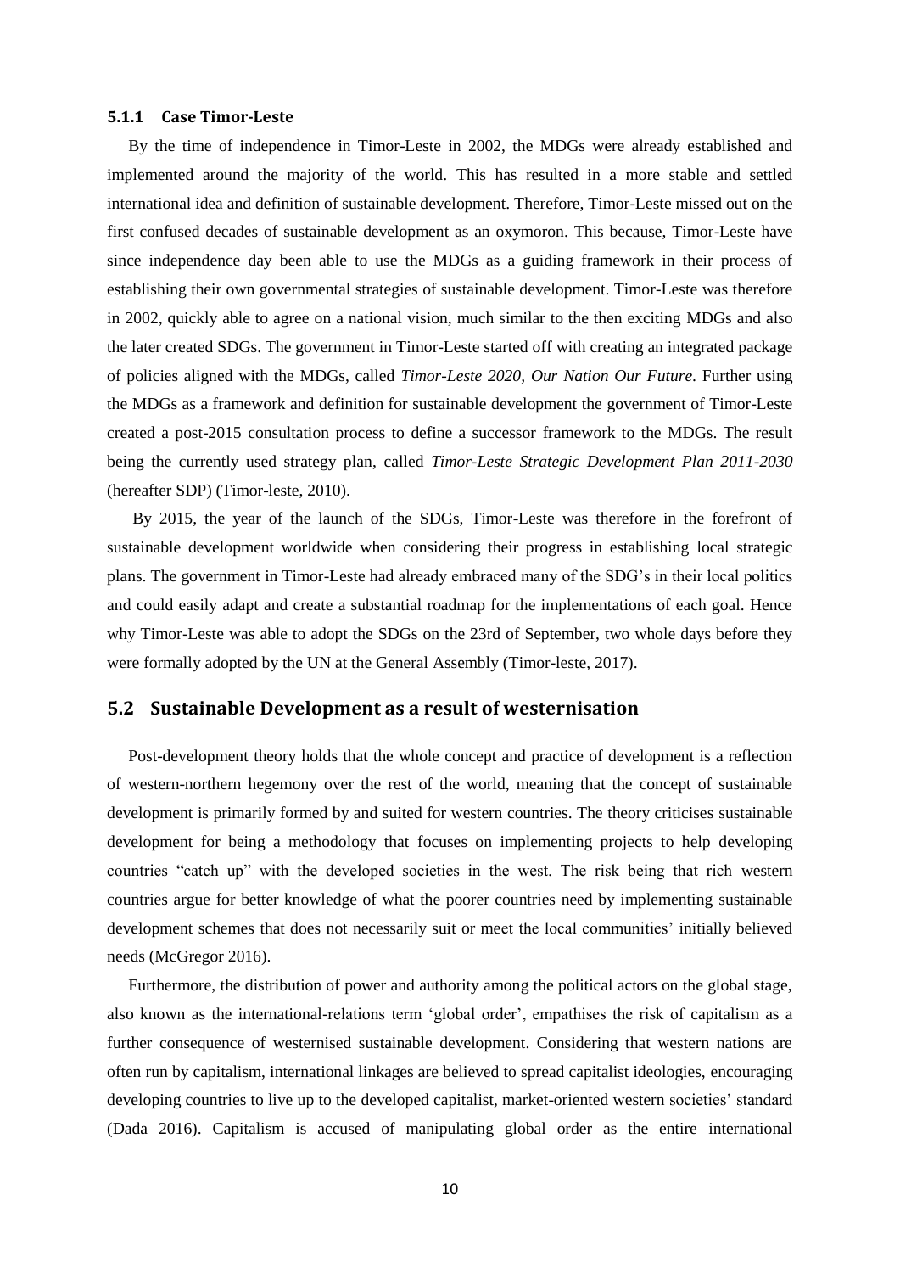#### <span id="page-14-0"></span>**5.1.1 Case Timor-Leste**

By the time of independence in Timor-Leste in 2002, the MDGs were already established and implemented around the majority of the world. This has resulted in a more stable and settled international idea and definition of sustainable development. Therefore, Timor-Leste missed out on the first confused decades of sustainable development as an oxymoron. This because, Timor-Leste have since independence day been able to use the MDGs as a guiding framework in their process of establishing their own governmental strategies of sustainable development. Timor-Leste was therefore in 2002, quickly able to agree on a national vision, much similar to the then exciting MDGs and also the later created SDGs. The government in Timor-Leste started off with creating an integrated package of policies aligned with the MDGs, called *Timor-Leste 2020, Our Nation Our Future*. Further using the MDGs as a framework and definition for sustainable development the government of Timor-Leste created a post-2015 consultation process to define a successor framework to the MDGs. The result being the currently used strategy plan, called *Timor-Leste Strategic Development Plan 2011-2030*  (hereafter SDP) (Timor-leste, 2010).

By 2015, the year of the launch of the SDGs, Timor-Leste was therefore in the forefront of sustainable development worldwide when considering their progress in establishing local strategic plans. The government in Timor-Leste had already embraced many of the SDG's in their local politics and could easily adapt and create a substantial roadmap for the implementations of each goal. Hence why Timor-Leste was able to adopt the SDGs on the 23rd of September, two whole days before they were formally adopted by the UN at the General Assembly (Timor-leste, 2017).

#### <span id="page-14-1"></span>**5.2 Sustainable Development as a result of westernisation**

Post-development theory holds that the whole concept and practice of development is a reflection of western-northern hegemony over the rest of the world, meaning that the concept of sustainable development is primarily formed by and suited for western countries. The theory criticises sustainable development for being a methodology that focuses on implementing projects to help developing countries "catch up" with the developed societies in the west. The risk being that rich western countries argue for better knowledge of what the poorer countries need by implementing sustainable development schemes that does not necessarily suit or meet the local communities' initially believed needs (McGregor 2016).

Furthermore, the distribution of power and authority among the political actors on the global stage, also known as the international-relations term 'global order', empathises the risk of capitalism as a further consequence of westernised sustainable development. Considering that western nations are often run by capitalism, international linkages are believed to spread capitalist ideologies, encouraging developing countries to live up to the developed capitalist, market-oriented western societies' standard (Dada 2016). Capitalism is accused of manipulating global order as the entire international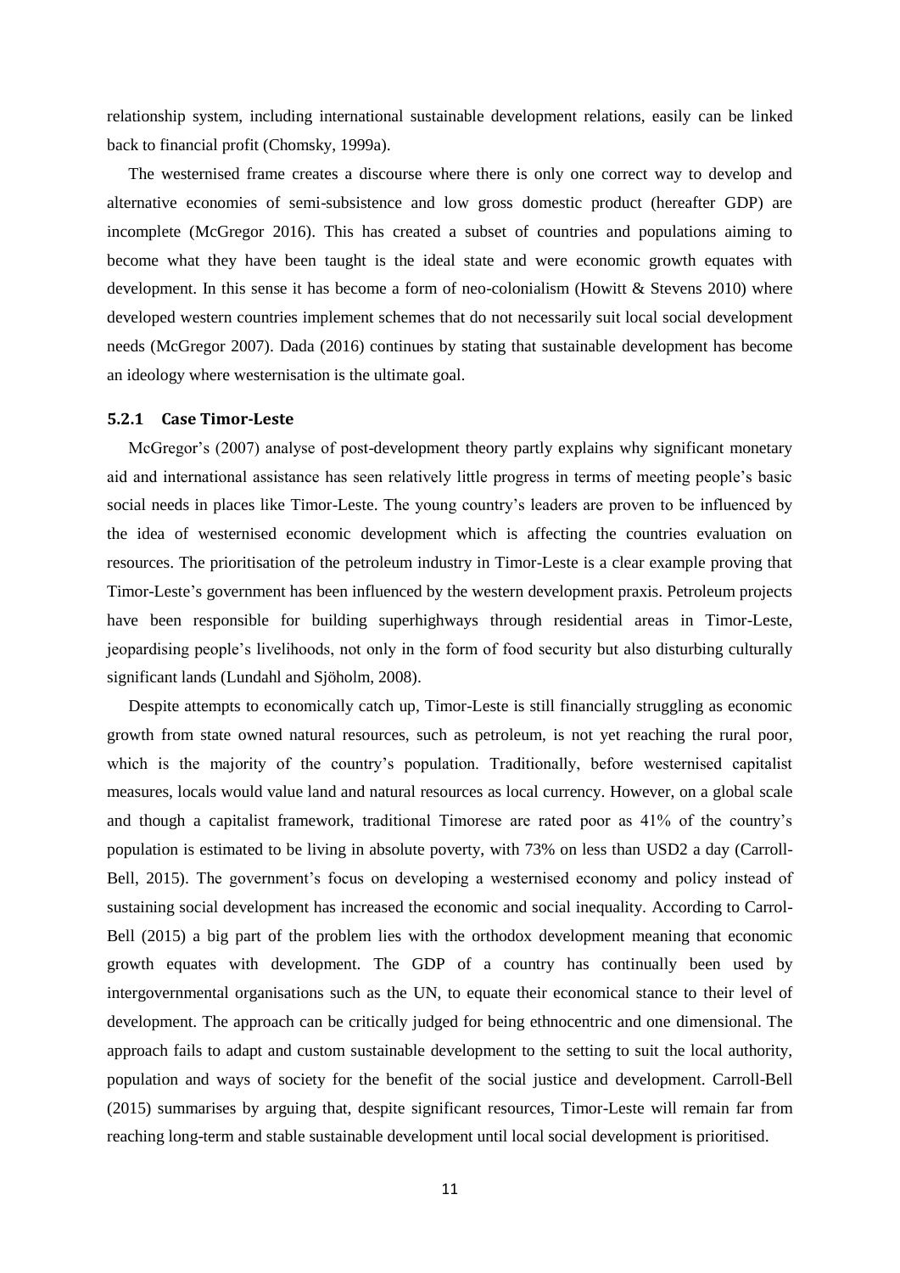relationship system, including international sustainable development relations, easily can be linked back to financial profit (Chomsky, 1999a).

The westernised frame creates a discourse where there is only one correct way to develop and alternative economies of semi-subsistence and low gross domestic product (hereafter GDP) are incomplete (McGregor 2016). This has created a subset of countries and populations aiming to become what they have been taught is the ideal state and were economic growth equates with development. In this sense it has become a form of neo-colonialism (Howitt & Stevens 2010) where developed western countries implement schemes that do not necessarily suit local social development needs (McGregor 2007). Dada (2016) continues by stating that sustainable development has become an ideology where westernisation is the ultimate goal.

#### <span id="page-15-0"></span>**5.2.1 Case Timor-Leste**

McGregor's (2007) analyse of post-development theory partly explains why significant monetary aid and international assistance has seen relatively little progress in terms of meeting people's basic social needs in places like Timor-Leste. The young country's leaders are proven to be influenced by the idea of westernised economic development which is affecting the countries evaluation on resources. The prioritisation of the petroleum industry in Timor-Leste is a clear example proving that Timor-Leste's government has been influenced by the western development praxis. Petroleum projects have been responsible for building superhighways through residential areas in Timor-Leste, jeopardising people's livelihoods, not only in the form of food security but also disturbing culturally significant lands (Lundahl and Sjöholm, 2008).

Despite attempts to economically catch up, Timor-Leste is still financially struggling as economic growth from state owned natural resources, such as petroleum, is not yet reaching the rural poor, which is the majority of the country's population. Traditionally, before westernised capitalist measures, locals would value land and natural resources as local currency. However, on a global scale and though a capitalist framework, traditional Timorese are rated poor as 41% of the country's population is estimated to be living in absolute poverty, with 73% on less than USD2 a day (Carroll-Bell, 2015). The government's focus on developing a westernised economy and policy instead of sustaining social development has increased the economic and social inequality. According to Carrol-Bell (2015) a big part of the problem lies with the orthodox development meaning that economic growth equates with development. The GDP of a country has continually been used by intergovernmental organisations such as the UN, to equate their economical stance to their level of development. The approach can be critically judged for being ethnocentric and one dimensional. The approach fails to adapt and custom sustainable development to the setting to suit the local authority, population and ways of society for the benefit of the social justice and development. Carroll-Bell (2015) summarises by arguing that, despite significant resources, Timor-Leste will remain far from reaching long-term and stable sustainable development until local social development is prioritised.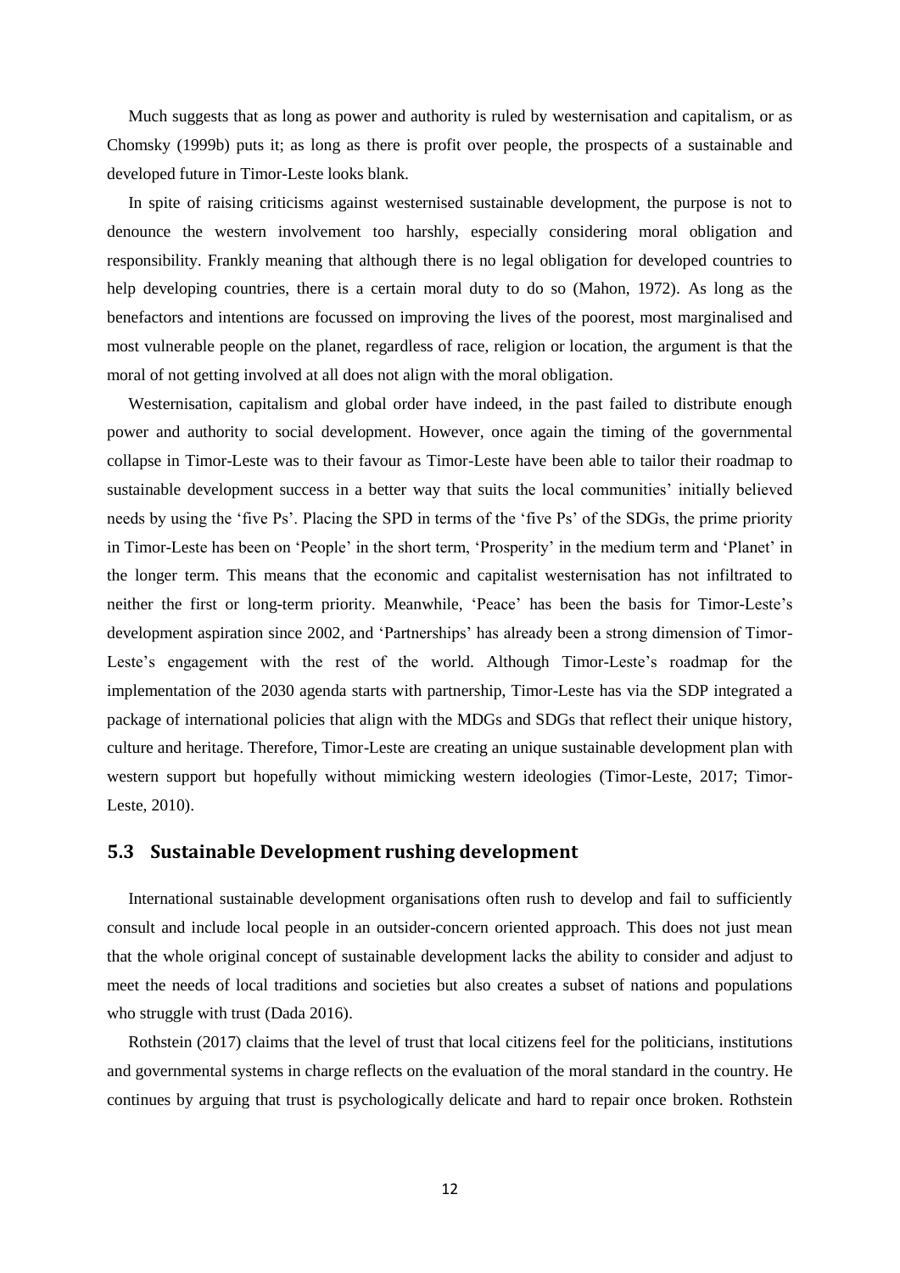Much suggests that as long as power and authority is ruled by westernisation and capitalism, or as Chomsky (1999b) puts it; as long as there is profit over people, the prospects of a sustainable and developed future in Timor-Leste looks blank.

In spite of raising criticisms against westernised sustainable development, the purpose is not to denounce the western involvement too harshly, especially considering moral obligation and responsibility. Frankly meaning that although there is no legal obligation for developed countries to help developing countries, there is a certain moral duty to do so (Mahon, 1972). As long as the benefactors and intentions are focussed on improving the lives of the poorest, most marginalised and most vulnerable people on the planet, regardless of race, religion or location, the argument is that the moral of not getting involved at all does not align with the moral obligation.

Westernisation, capitalism and global order have indeed, in the past failed to distribute enough power and authority to social development. However, once again the timing of the governmental collapse in Timor-Leste was to their favour as Timor-Leste have been able to tailor their roadmap to sustainable development success in a better way that suits the local communities' initially believed needs by using the 'five Ps'. Placing the SPD in terms of the 'five Ps' of the SDGs, the prime priority in Timor-Leste has been on 'People' in the short term, 'Prosperity' in the medium term and 'Planet' in the longer term. This means that the economic and capitalist westernisation has not infiltrated to neither the first or long-term priority. Meanwhile, 'Peace' has been the basis for Timor-Leste's development aspiration since 2002, and 'Partnerships' has already been a strong dimension of Timor-Leste's engagement with the rest of the world. Although Timor-Leste's roadmap for the implementation of the 2030 agenda starts with partnership, Timor-Leste has via the SDP integrated a package of international policies that align with the MDGs and SDGs that reflect their unique history, culture and heritage. Therefore, Timor-Leste are creating an unique sustainable development plan with western support but hopefully without mimicking western ideologies (Timor-Leste, 2017; Timor-Leste, 2010).

## <span id="page-16-0"></span>**5.3 Sustainable Development rushing development**

International sustainable development organisations often rush to develop and fail to sufficiently consult and include local people in an outsider-concern oriented approach. This does not just mean that the whole original concept of sustainable development lacks the ability to consider and adjust to meet the needs of local traditions and societies but also creates a subset of nations and populations who struggle with trust (Dada 2016).

Rothstein (2017) claims that the level of trust that local citizens feel for the politicians, institutions and governmental systems in charge reflects on the evaluation of the moral standard in the country. He continues by arguing that trust is psychologically delicate and hard to repair once broken. Rothstein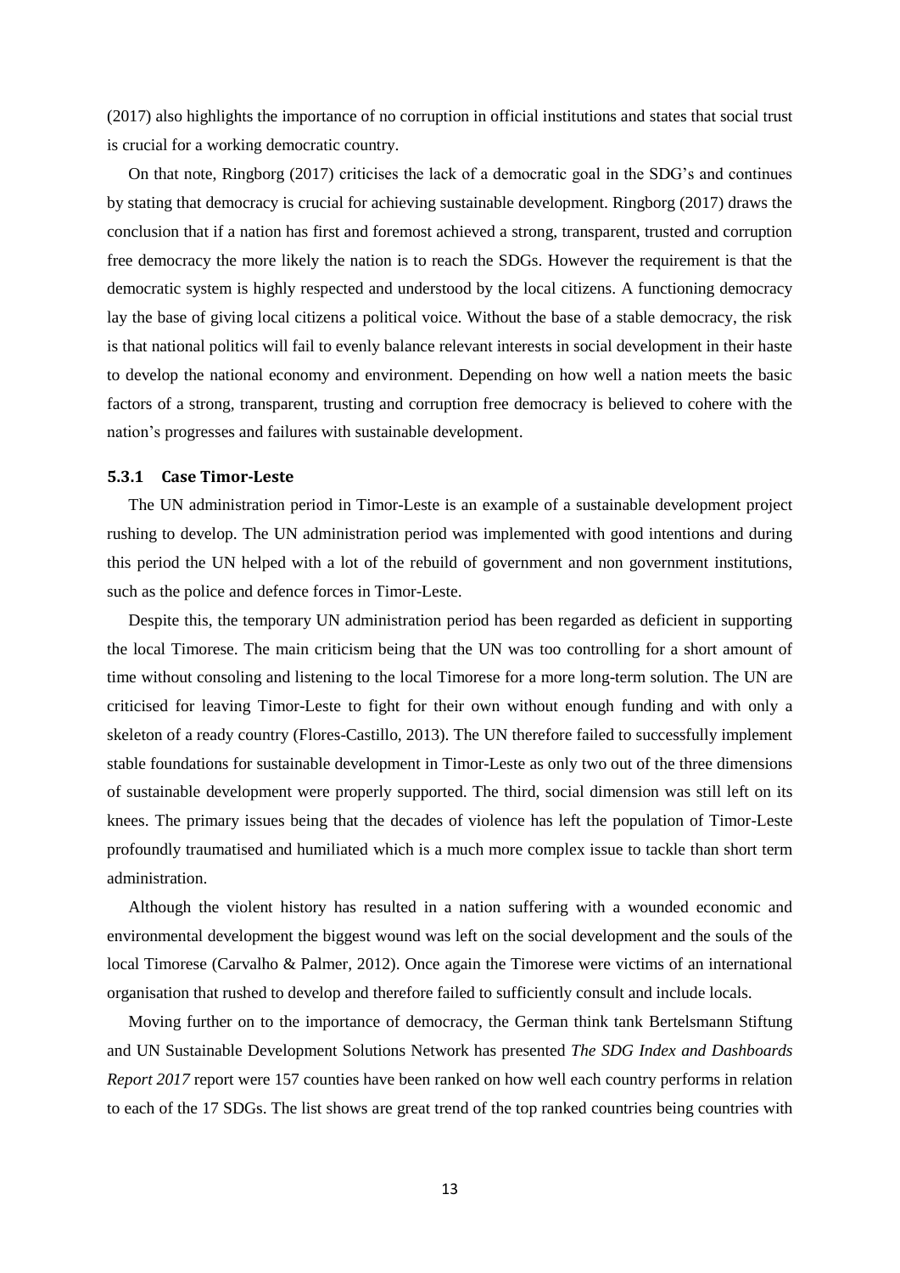(2017) also highlights the importance of no corruption in official institutions and states that social trust is crucial for a working democratic country.

On that note, Ringborg (2017) criticises the lack of a democratic goal in the SDG's and continues by stating that democracy is crucial for achieving sustainable development. Ringborg (2017) draws the conclusion that if a nation has first and foremost achieved a strong, transparent, trusted and corruption free democracy the more likely the nation is to reach the SDGs. However the requirement is that the democratic system is highly respected and understood by the local citizens. A functioning democracy lay the base of giving local citizens a political voice. Without the base of a stable democracy, the risk is that national politics will fail to evenly balance relevant interests in social development in their haste to develop the national economy and environment. Depending on how well a nation meets the basic factors of a strong, transparent, trusting and corruption free democracy is believed to cohere with the nation's progresses and failures with sustainable development.

#### <span id="page-17-0"></span>**5.3.1 Case Timor-Leste**

The UN administration period in Timor-Leste is an example of a sustainable development project rushing to develop. The UN administration period was implemented with good intentions and during this period the UN helped with a lot of the rebuild of government and non government institutions, such as the police and defence forces in Timor-Leste.

Despite this, the temporary UN administration period has been regarded as deficient in supporting the local Timorese. The main criticism being that the UN was too controlling for a short amount of time without consoling and listening to the local Timorese for a more long-term solution. The UN are criticised for leaving Timor-Leste to fight for their own without enough funding and with only a skeleton of a ready country (Flores-Castillo, 2013). The UN therefore failed to successfully implement stable foundations for sustainable development in Timor-Leste as only two out of the three dimensions of sustainable development were properly supported. The third, social dimension was still left on its knees. The primary issues being that the decades of violence has left the population of Timor-Leste profoundly traumatised and humiliated which is a much more complex issue to tackle than short term administration.

Although the violent history has resulted in a nation suffering with a wounded economic and environmental development the biggest wound was left on the social development and the souls of the local Timorese (Carvalho & Palmer, 2012). Once again the Timorese were victims of an international organisation that rushed to develop and therefore failed to sufficiently consult and include locals.

Moving further on to the importance of democracy, the German think tank Bertelsmann Stiftung and UN Sustainable Development Solutions Network has presented *The SDG Index and Dashboards Report 2017* report were 157 counties have been ranked on how well each country performs in relation to each of the 17 SDGs. The list shows are great trend of the top ranked countries being countries with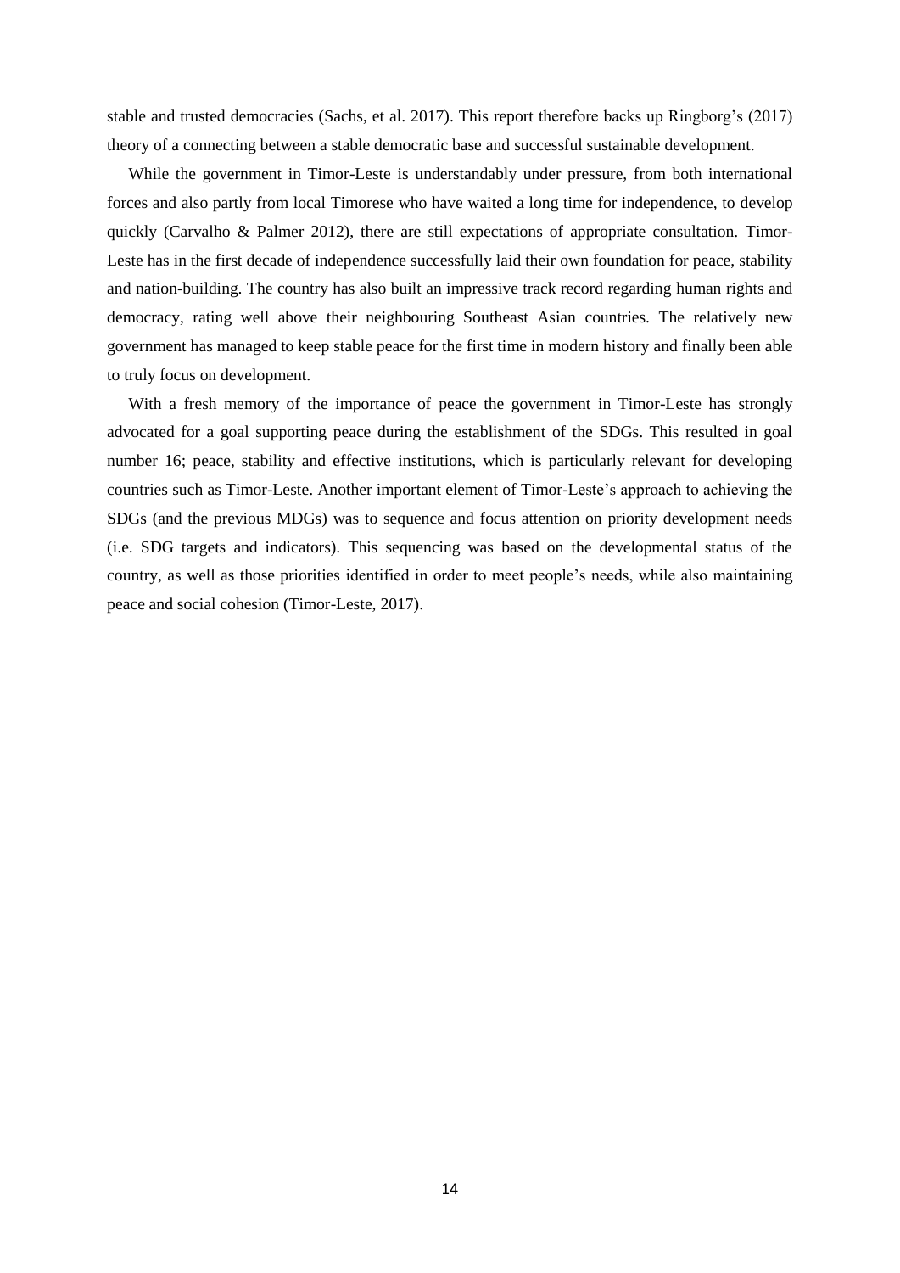stable and trusted democracies (Sachs, et al. 2017). This report therefore backs up Ringborg's (2017) theory of a connecting between a stable democratic base and successful sustainable development.

While the government in Timor-Leste is understandably under pressure, from both international forces and also partly from local Timorese who have waited a long time for independence, to develop quickly (Carvalho & Palmer 2012), there are still expectations of appropriate consultation. Timor-Leste has in the first decade of independence successfully laid their own foundation for peace, stability and nation-building. The country has also built an impressive track record regarding human rights and democracy, rating well above their neighbouring Southeast Asian countries. The relatively new government has managed to keep stable peace for the first time in modern history and finally been able to truly focus on development.

With a fresh memory of the importance of peace the government in Timor-Leste has strongly advocated for a goal supporting peace during the establishment of the SDGs. This resulted in goal number 16; peace, stability and effective institutions, which is particularly relevant for developing countries such as Timor-Leste. Another important element of Timor-Leste's approach to achieving the SDGs (and the previous MDGs) was to sequence and focus attention on priority development needs (i.e. SDG targets and indicators). This sequencing was based on the developmental status of the country, as well as those priorities identified in order to meet people's needs, while also maintaining peace and social cohesion (Timor-Leste, 2017).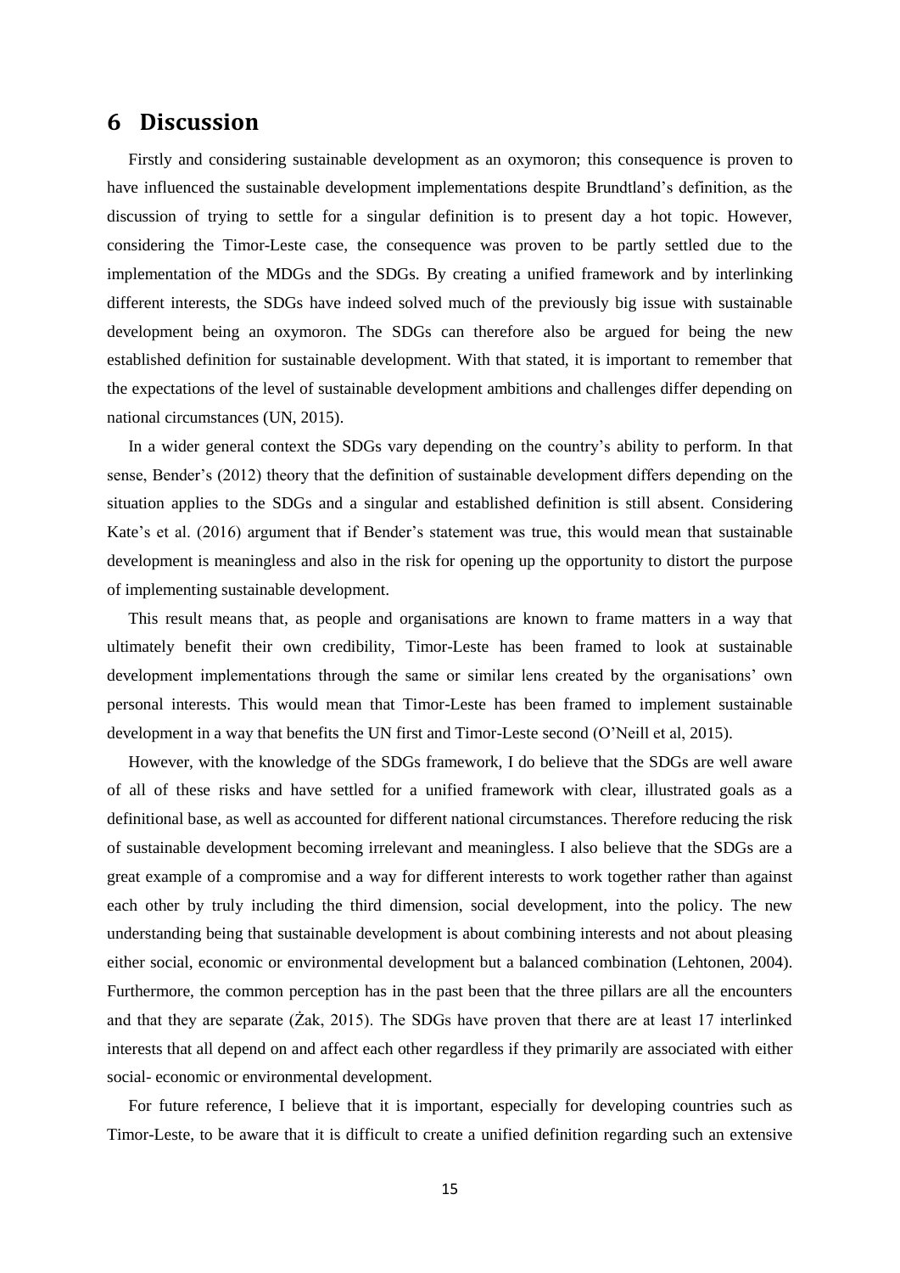## <span id="page-19-0"></span>**6 Discussion**

Firstly and considering sustainable development as an oxymoron; this consequence is proven to have influenced the sustainable development implementations despite Brundtland's definition, as the discussion of trying to settle for a singular definition is to present day a hot topic. However, considering the Timor-Leste case, the consequence was proven to be partly settled due to the implementation of the MDGs and the SDGs. By creating a unified framework and by interlinking different interests, the SDGs have indeed solved much of the previously big issue with sustainable development being an oxymoron. The SDGs can therefore also be argued for being the new established definition for sustainable development. With that stated, it is important to remember that the expectations of the level of sustainable development ambitions and challenges differ depending on national circumstances (UN, 2015).

In a wider general context the SDGs vary depending on the country's ability to perform. In that sense, Bender's (2012) theory that the definition of sustainable development differs depending on the situation applies to the SDGs and a singular and established definition is still absent. Considering Kate's et al. (2016) argument that if Bender's statement was true, this would mean that sustainable development is meaningless and also in the risk for opening up the opportunity to distort the purpose of implementing sustainable development.

This result means that, as people and organisations are known to frame matters in a way that ultimately benefit their own credibility, Timor-Leste has been framed to look at sustainable development implementations through the same or similar lens created by the organisations' own personal interests. This would mean that Timor-Leste has been framed to implement sustainable development in a way that benefits the UN first and Timor-Leste second (O'Neill et al, 2015).

However, with the knowledge of the SDGs framework, I do believe that the SDGs are well aware of all of these risks and have settled for a unified framework with clear, illustrated goals as a definitional base, as well as accounted for different national circumstances. Therefore reducing the risk of sustainable development becoming irrelevant and meaningless. I also believe that the SDGs are a great example of a compromise and a way for different interests to work together rather than against each other by truly including the third dimension, social development, into the policy. The new understanding being that sustainable development is about combining interests and not about pleasing either social, economic or environmental development but a balanced combination (Lehtonen, 2004). Furthermore, the common perception has in the past been that the three pillars are all the encounters and that they are separate (Żak, 2015). The SDGs have proven that there are at least 17 interlinked interests that all depend on and affect each other regardless if they primarily are associated with either social- economic or environmental development.

For future reference, I believe that it is important, especially for developing countries such as Timor-Leste, to be aware that it is difficult to create a unified definition regarding such an extensive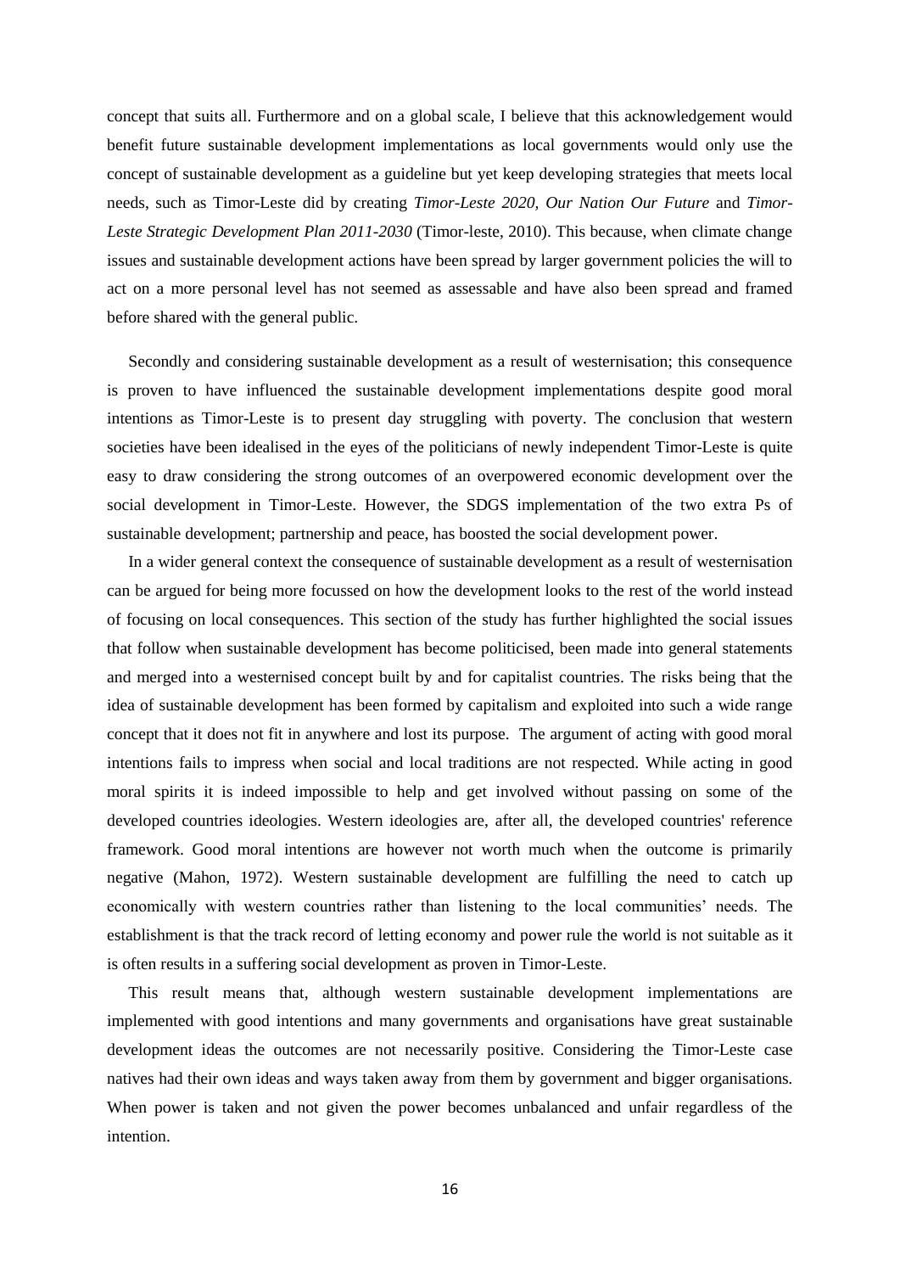concept that suits all. Furthermore and on a global scale, I believe that this acknowledgement would benefit future sustainable development implementations as local governments would only use the concept of sustainable development as a guideline but yet keep developing strategies that meets local needs, such as Timor-Leste did by creating *Timor-Leste 2020, Our Nation Our Future* and *Timor-Leste Strategic Development Plan 2011-2030* (Timor-leste, 2010). This because, when climate change issues and sustainable development actions have been spread by larger government policies the will to act on a more personal level has not seemed as assessable and have also been spread and framed before shared with the general public.

Secondly and considering sustainable development as a result of westernisation; this consequence is proven to have influenced the sustainable development implementations despite good moral intentions as Timor-Leste is to present day struggling with poverty. The conclusion that western societies have been idealised in the eyes of the politicians of newly independent Timor-Leste is quite easy to draw considering the strong outcomes of an overpowered economic development over the social development in Timor-Leste. However, the SDGS implementation of the two extra Ps of sustainable development; partnership and peace, has boosted the social development power.

In a wider general context the consequence of sustainable development as a result of westernisation can be argued for being more focussed on how the development looks to the rest of the world instead of focusing on local consequences. This section of the study has further highlighted the social issues that follow when sustainable development has become politicised, been made into general statements and merged into a westernised concept built by and for capitalist countries. The risks being that the idea of sustainable development has been formed by capitalism and exploited into such a wide range concept that it does not fit in anywhere and lost its purpose. The argument of acting with good moral intentions fails to impress when social and local traditions are not respected. While acting in good moral spirits it is indeed impossible to help and get involved without passing on some of the developed countries ideologies. Western ideologies are, after all, the developed countries' reference framework. Good moral intentions are however not worth much when the outcome is primarily negative (Mahon, 1972). Western sustainable development are fulfilling the need to catch up economically with western countries rather than listening to the local communities' needs. The establishment is that the track record of letting economy and power rule the world is not suitable as it is often results in a suffering social development as proven in Timor-Leste.

This result means that, although western sustainable development implementations are implemented with good intentions and many governments and organisations have great sustainable development ideas the outcomes are not necessarily positive. Considering the Timor-Leste case natives had their own ideas and ways taken away from them by government and bigger organisations. When power is taken and not given the power becomes unbalanced and unfair regardless of the intention.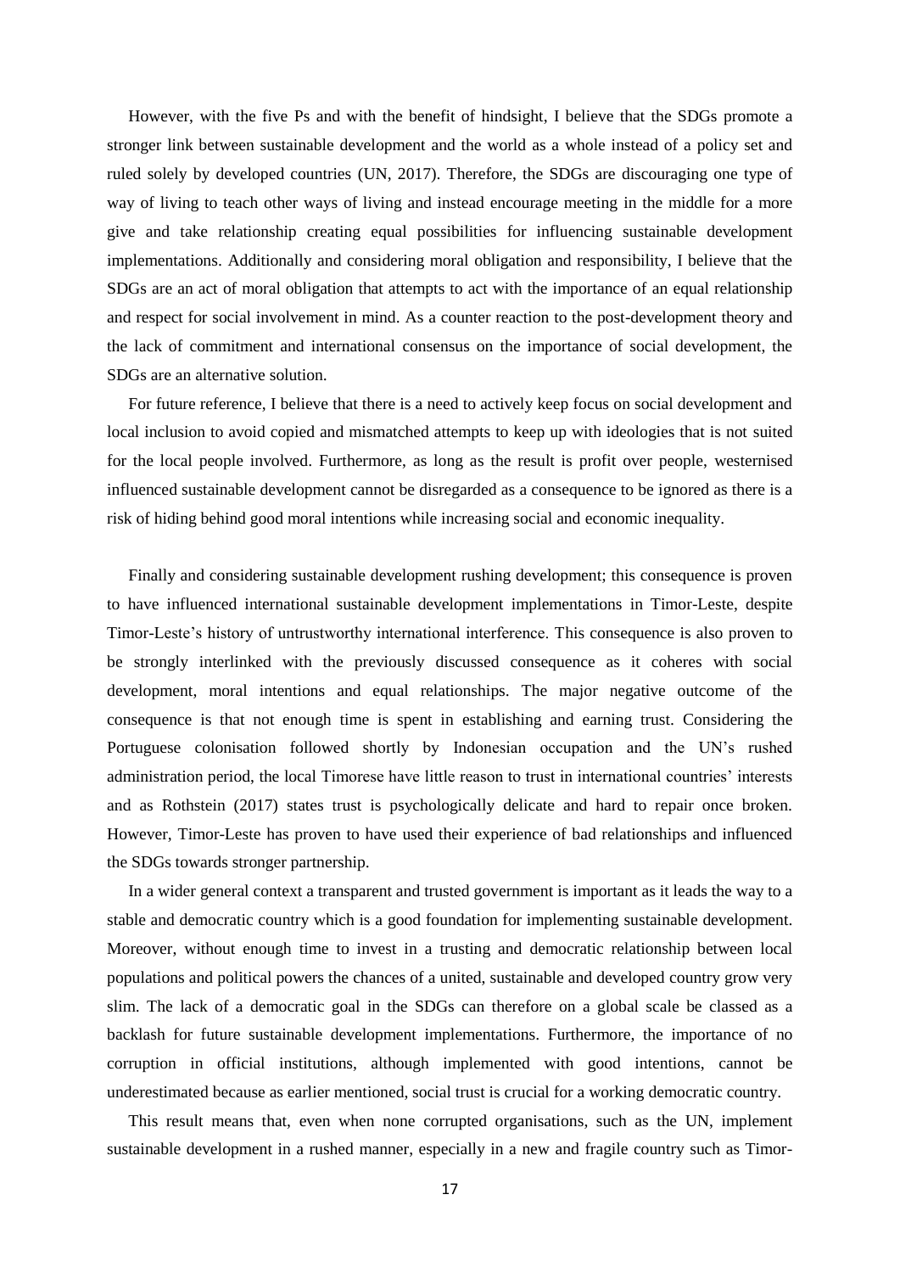However, with the five Ps and with the benefit of hindsight, I believe that the SDGs promote a stronger link between sustainable development and the world as a whole instead of a policy set and ruled solely by developed countries (UN, 2017). Therefore, the SDGs are discouraging one type of way of living to teach other ways of living and instead encourage meeting in the middle for a more give and take relationship creating equal possibilities for influencing sustainable development implementations. Additionally and considering moral obligation and responsibility, I believe that the SDGs are an act of moral obligation that attempts to act with the importance of an equal relationship and respect for social involvement in mind. As a counter reaction to the post-development theory and the lack of commitment and international consensus on the importance of social development, the SDGs are an alternative solution.

For future reference, I believe that there is a need to actively keep focus on social development and local inclusion to avoid copied and mismatched attempts to keep up with ideologies that is not suited for the local people involved. Furthermore, as long as the result is profit over people, westernised influenced sustainable development cannot be disregarded as a consequence to be ignored as there is a risk of hiding behind good moral intentions while increasing social and economic inequality.

Finally and considering sustainable development rushing development; this consequence is proven to have influenced international sustainable development implementations in Timor-Leste, despite Timor-Leste's history of untrustworthy international interference. This consequence is also proven to be strongly interlinked with the previously discussed consequence as it coheres with social development, moral intentions and equal relationships. The major negative outcome of the consequence is that not enough time is spent in establishing and earning trust. Considering the Portuguese colonisation followed shortly by Indonesian occupation and the UN's rushed administration period, the local Timorese have little reason to trust in international countries' interests and as Rothstein (2017) states trust is psychologically delicate and hard to repair once broken. However, Timor-Leste has proven to have used their experience of bad relationships and influenced the SDGs towards stronger partnership.

In a wider general context a transparent and trusted government is important as it leads the way to a stable and democratic country which is a good foundation for implementing sustainable development. Moreover, without enough time to invest in a trusting and democratic relationship between local populations and political powers the chances of a united, sustainable and developed country grow very slim. The lack of a democratic goal in the SDGs can therefore on a global scale be classed as a backlash for future sustainable development implementations. Furthermore, the importance of no corruption in official institutions, although implemented with good intentions, cannot be underestimated because as earlier mentioned, social trust is crucial for a working democratic country.

This result means that, even when none corrupted organisations, such as the UN, implement sustainable development in a rushed manner, especially in a new and fragile country such as Timor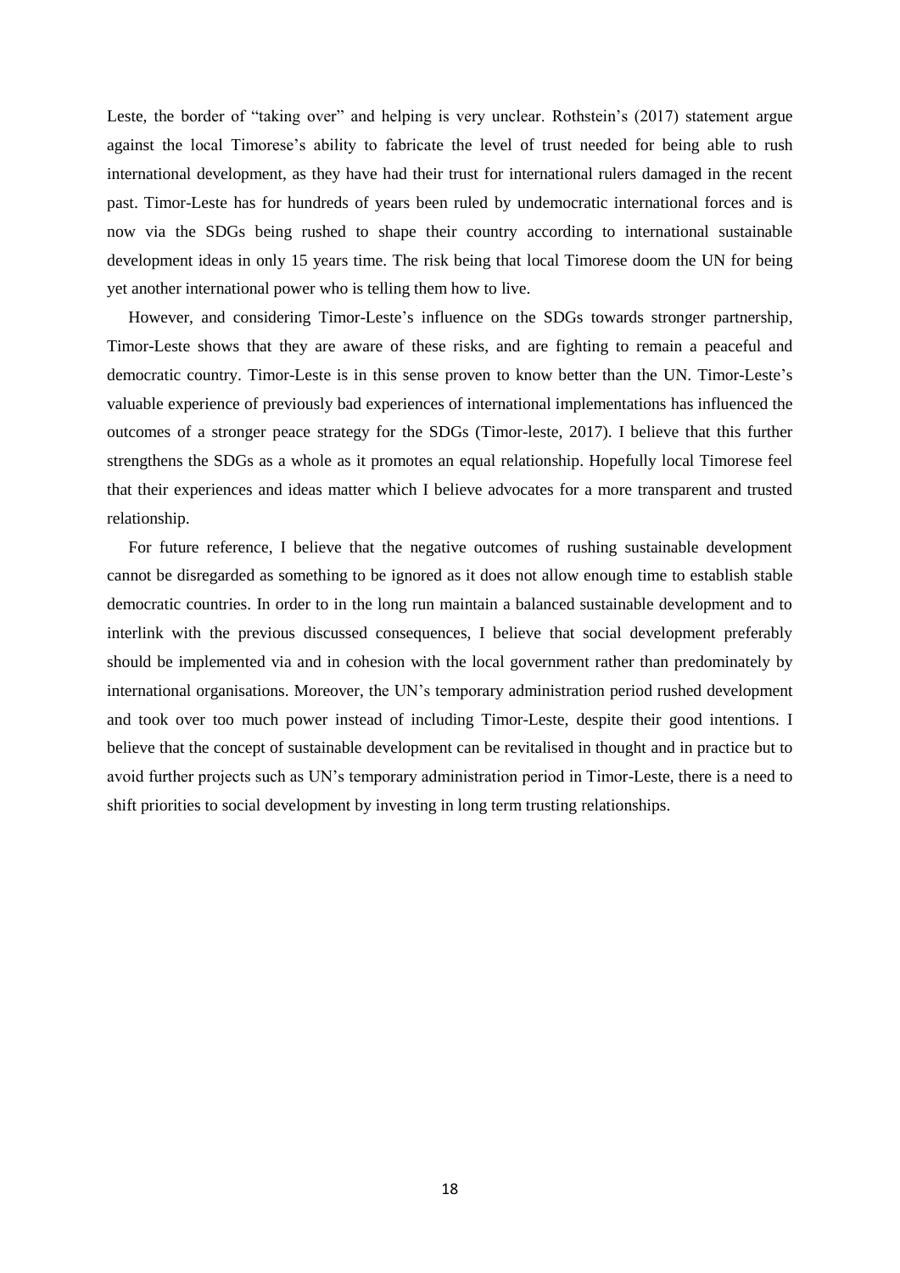Leste, the border of "taking over" and helping is very unclear. Rothstein's (2017) statement argue against the local Timorese's ability to fabricate the level of trust needed for being able to rush international development, as they have had their trust for international rulers damaged in the recent past. Timor-Leste has for hundreds of years been ruled by undemocratic international forces and is now via the SDGs being rushed to shape their country according to international sustainable development ideas in only 15 years time. The risk being that local Timorese doom the UN for being yet another international power who is telling them how to live.

However, and considering Timor-Leste's influence on the SDGs towards stronger partnership, Timor-Leste shows that they are aware of these risks, and are fighting to remain a peaceful and democratic country. Timor-Leste is in this sense proven to know better than the UN. Timor-Leste's valuable experience of previously bad experiences of international implementations has influenced the outcomes of a stronger peace strategy for the SDGs (Timor-leste, 2017). I believe that this further strengthens the SDGs as a whole as it promotes an equal relationship. Hopefully local Timorese feel that their experiences and ideas matter which I believe advocates for a more transparent and trusted relationship.

For future reference, I believe that the negative outcomes of rushing sustainable development cannot be disregarded as something to be ignored as it does not allow enough time to establish stable democratic countries. In order to in the long run maintain a balanced sustainable development and to interlink with the previous discussed consequences, I believe that social development preferably should be implemented via and in cohesion with the local government rather than predominately by international organisations. Moreover, the UN's temporary administration period rushed development and took over too much power instead of including Timor-Leste, despite their good intentions. I believe that the concept of sustainable development can be revitalised in thought and in practice but to avoid further projects such as UN's temporary administration period in Timor-Leste, there is a need to shift priorities to social development by investing in long term trusting relationships.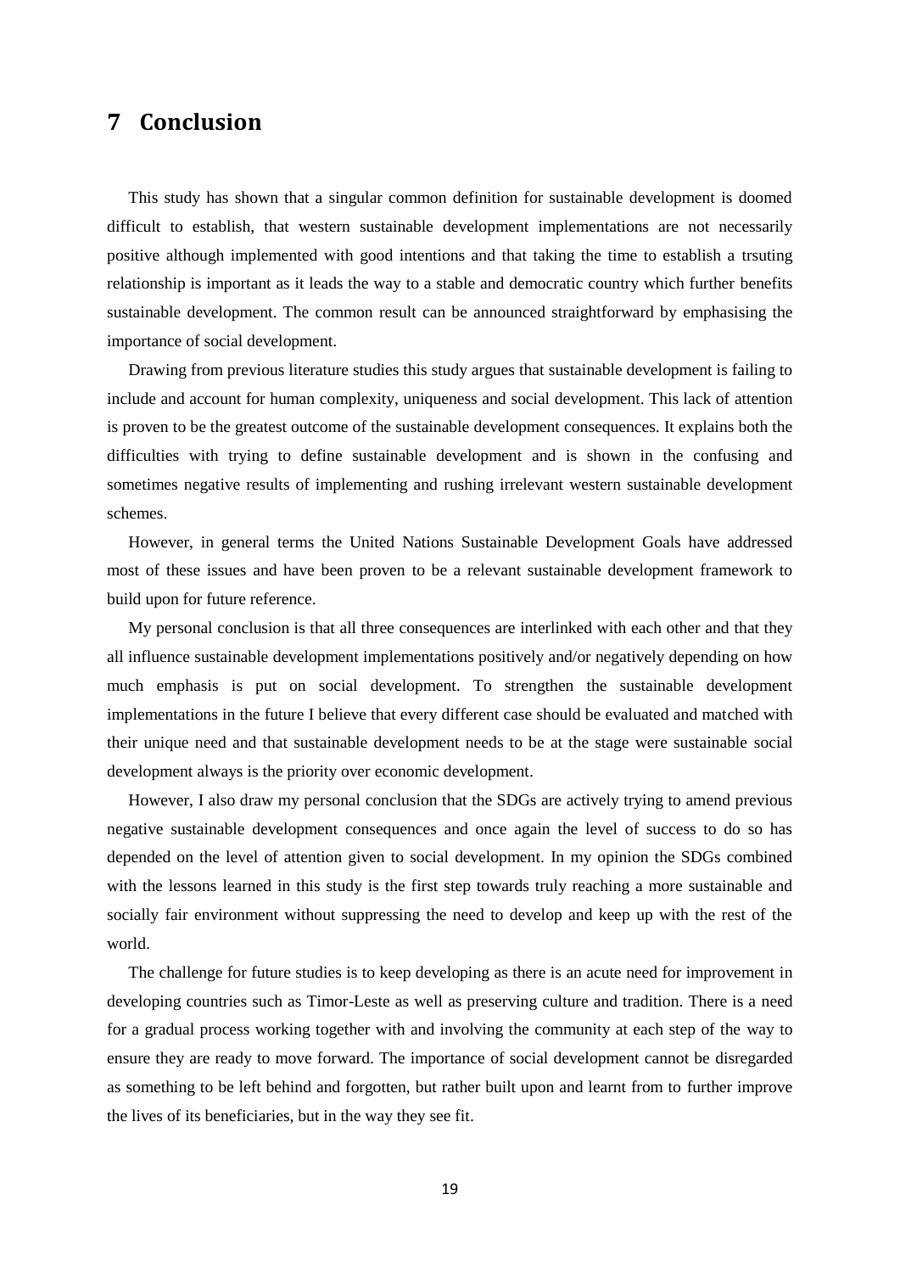## <span id="page-23-0"></span>**7 Conclusion**

This study has shown that a singular common definition for sustainable development is doomed difficult to establish, that western sustainable development implementations are not necessarily positive although implemented with good intentions and that taking the time to establish a trsuting relationship is important as it leads the way to a stable and democratic country which further benefits sustainable development. The common result can be announced straightforward by emphasising the importance of social development.

Drawing from previous literature studies this study argues that sustainable development is failing to include and account for human complexity, uniqueness and social development. This lack of attention is proven to be the greatest outcome of the sustainable development consequences. It explains both the difficulties with trying to define sustainable development and is shown in the confusing and sometimes negative results of implementing and rushing irrelevant western sustainable development schemes.

However, in general terms the United Nations Sustainable Development Goals have addressed most of these issues and have been proven to be a relevant sustainable development framework to build upon for future reference.

My personal conclusion is that all three consequences are interlinked with each other and that they all influence sustainable development implementations positively and/or negatively depending on how much emphasis is put on social development. To strengthen the sustainable development implementations in the future I believe that every different case should be evaluated and matched with their unique need and that sustainable development needs to be at the stage were sustainable social development always is the priority over economic development.

However, I also draw my personal conclusion that the SDGs are actively trying to amend previous negative sustainable development consequences and once again the level of success to do so has depended on the level of attention given to social development. In my opinion the SDGs combined with the lessons learned in this study is the first step towards truly reaching a more sustainable and socially fair environment without suppressing the need to develop and keep up with the rest of the world.

The challenge for future studies is to keep developing as there is an acute need for improvement in developing countries such as Timor-Leste as well as preserving culture and tradition. There is a need for a gradual process working together with and involving the community at each step of the way to ensure they are ready to move forward. The importance of social development cannot be disregarded as something to be left behind and forgotten, but rather built upon and learnt from to further improve the lives of its beneficiaries, but in the way they see fit.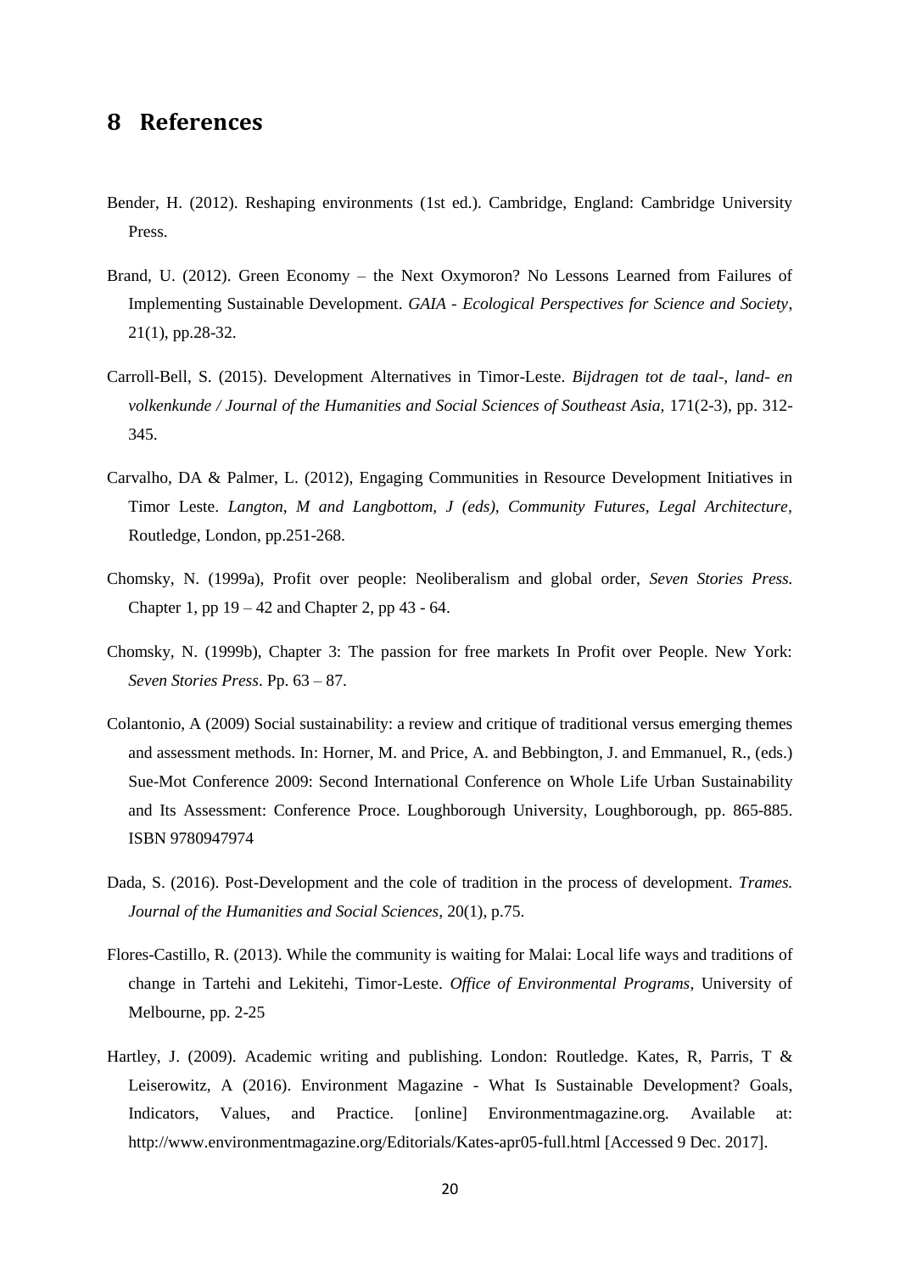## <span id="page-24-0"></span>**8 References**

- Bender, H. (2012). Reshaping environments (1st ed.). Cambridge, England: Cambridge University Press.
- Brand, U. (2012). Green Economy the Next Oxymoron? No Lessons Learned from Failures of Implementing Sustainable Development. *GAIA - Ecological Perspectives for Science and Society*, 21(1), pp.28-32.
- Carroll-Bell, S. (2015). Development Alternatives in Timor-Leste. *Bijdragen tot de taal-, land- en volkenkunde / Journal of the Humanities and Social Sciences of Southeast Asia,* 171(2-3), pp. 312- 345.
- Carvalho, DA & Palmer, L. (2012), Engaging Communities in Resource Development Initiatives in Timor Leste. *Langton, M and Langbottom, J (eds), Community Futures, Legal Architecture,* Routledge, London, pp.251-268.
- Chomsky, N. (1999a), Profit over people: Neoliberalism and global order, *Seven Stories Press.* Chapter 1, pp  $19 - 42$  and Chapter 2, pp  $43 - 64$ .
- Chomsky, N. (1999b), Chapter 3: The passion for free markets In Profit over People. New York: *Seven Stories Press*. Pp. 63 – 87.
- Colantonio, A (2009) Social sustainability: a review and critique of traditional versus emerging themes and assessment methods. In: Horner, M. and Price, A. and Bebbington, J. and Emmanuel, R., (eds.) Sue-Mot Conference 2009: Second International Conference on Whole Life Urban Sustainability and Its Assessment: Conference Proce. Loughborough University, Loughborough, pp. 865-885. ISBN 9780947974
- Dada, S. (2016). Post-Development and the cole of tradition in the process of development*. Trames. Journal of the Humanities and Social Sciences*, 20(1), p.75.
- Flores-Castillo, R. (2013). While the community is waiting for Malai: Local life ways and traditions of change in Tartehi and Lekitehi, Timor-Leste. *Office of Environmental Programs*, University of Melbourne, pp. 2-25
- Hartley, J. (2009). Academic writing and publishing. London: Routledge. Kates, R, Parris, T & Leiserowitz, A (2016). Environment Magazine - What Is Sustainable Development? Goals, Indicators, Values, and Practice. [online] Environmentmagazine.org. Available at: http://www.environmentmagazine.org/Editorials/Kates-apr05-full.html [Accessed 9 Dec. 2017].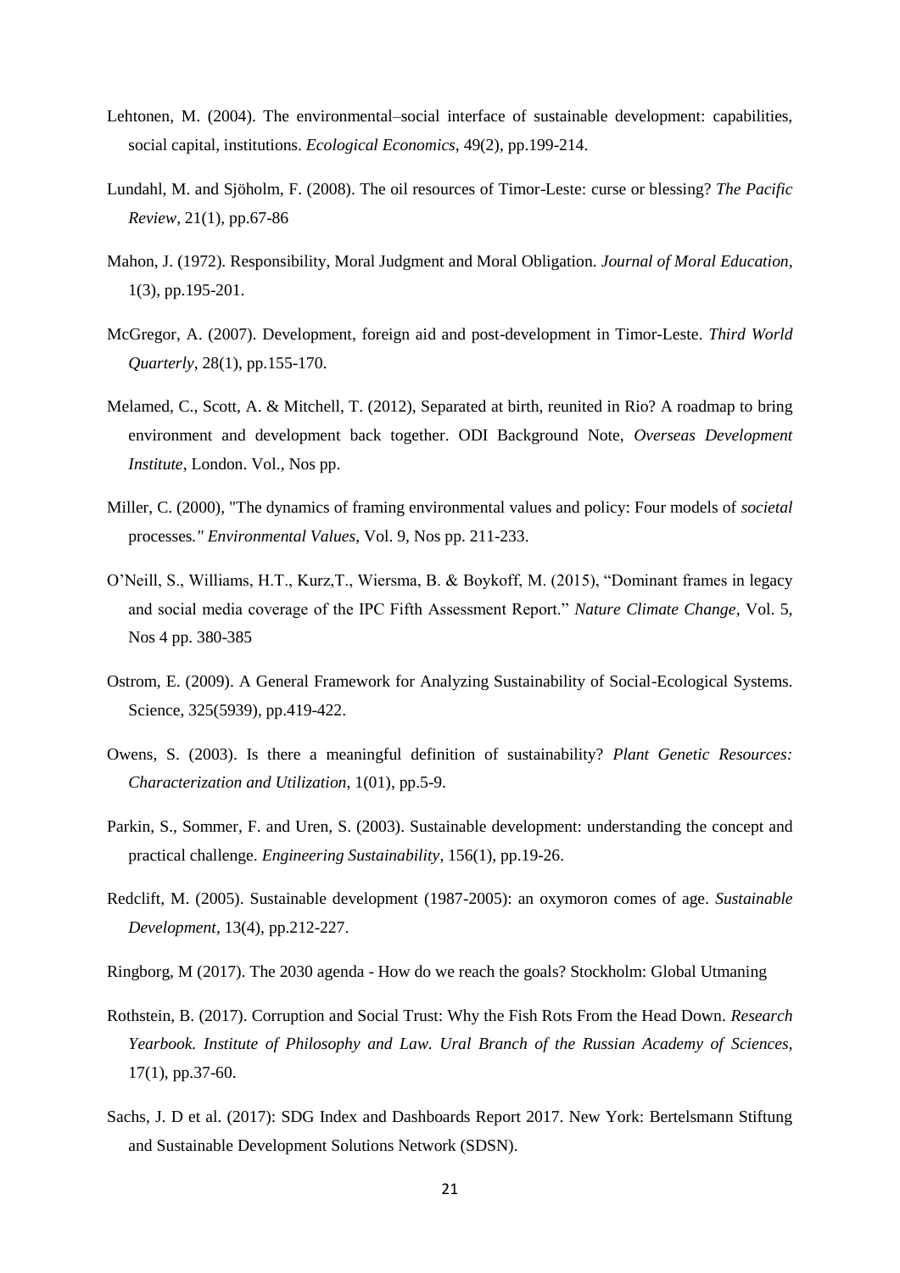- Lehtonen, M. (2004). The environmental–social interface of sustainable development: capabilities, social capital, institutions. *Ecological Economics*, 49(2), pp.199-214.
- Lundahl, M. and Sjöholm, F. (2008). The oil resources of Timor-Leste: curse or blessing? *The Pacific Review*, 21(1), pp.67-86
- Mahon, J. (1972). Responsibility, Moral Judgment and Moral Obligation*. Journal of Moral Education*, 1(3), pp.195-201.
- McGregor, A. (2007). Development, foreign aid and post-development in Timor-Leste. *Third World Quarterly*, 28(1), pp.155-170.
- Melamed, C., Scott, A. & Mitchell, T. (2012), Separated at birth, reunited in Rio? A roadmap to bring environment and development back together. ODI Background Note, *Overseas Development Institute*, London. Vol., Nos pp.
- Miller, C. (2000), "The dynamics of framing environmental values and policy: Four models of *societal* processes*." Environmental Values*, Vol. 9, Nos pp. 211-233.
- O'Neill, S., Williams, H.T., Kurz,T., Wiersma, B. & Boykoff, M. (2015), "Dominant frames in legacy and social media coverage of the IPC Fifth Assessment Report." *Nature Climate Change*, Vol. 5, Nos 4 pp. 380-385
- Ostrom, E. (2009). A General Framework for Analyzing Sustainability of Social-Ecological Systems. Science, 325(5939), pp.419-422.
- Owens, S. (2003). Is there a meaningful definition of sustainability? *Plant Genetic Resources: Characterization and Utilization*, 1(01), pp.5-9.
- Parkin, S., Sommer, F. and Uren, S. (2003). Sustainable development: understanding the concept and practical challenge. *Engineering Sustainability*, 156(1), pp.19-26.
- Redclift, M. (2005). Sustainable development (1987-2005): an oxymoron comes of age. *Sustainable Development*, 13(4), pp.212-227.
- Ringborg, M (2017). The 2030 agenda How do we reach the goals? Stockholm: Global Utmaning
- Rothstein, B. (2017). Corruption and Social Trust: Why the Fish Rots From the Head Down*. Research Yearbook. Institute of Philosophy and Law. Ural Branch of the Russian Academy of Sciences,* 17(1), pp.37-60.
- Sachs, J. D et al. (2017): SDG Index and Dashboards Report 2017. New York: Bertelsmann Stiftung and Sustainable Development Solutions Network (SDSN).